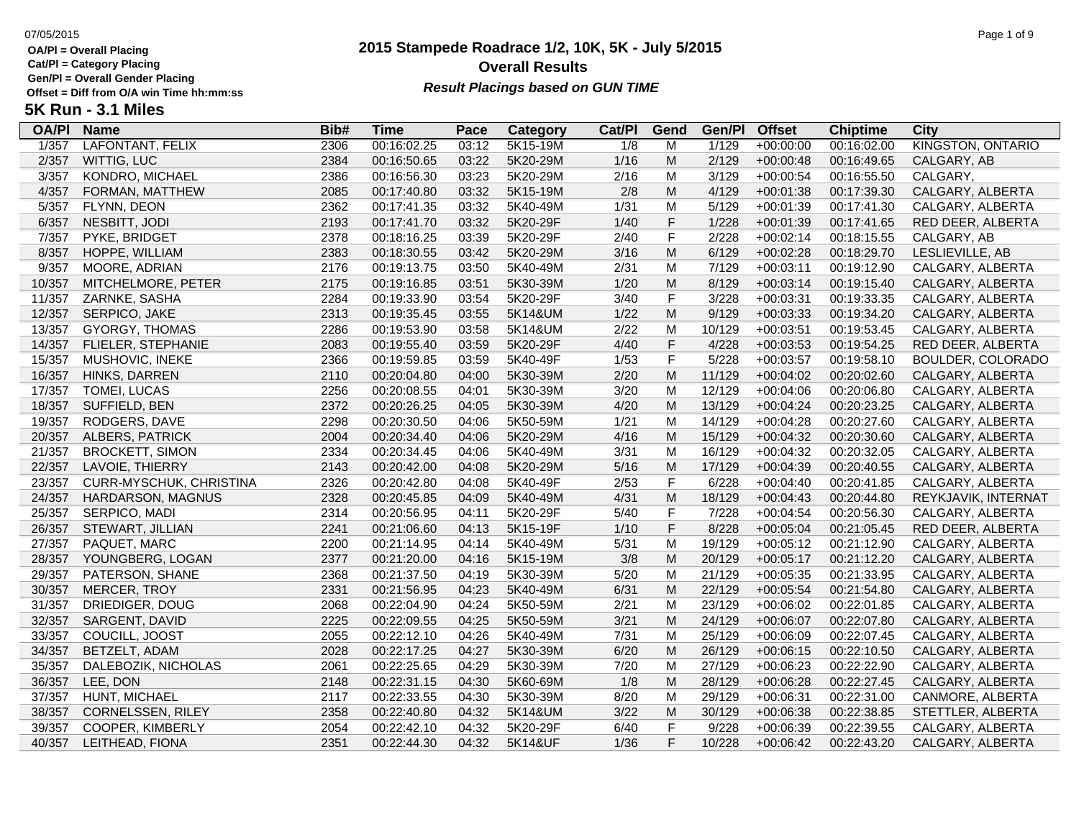**Cat/Pl = Category Placing**

**Gen/Pl = Overall Gender Placing**

## **2015 Stampede Roadrace 1/2, 10K, 5K - July 5/2015** 07/05/2015 Page 1 of 9 **Overall Results** Gen/PI = Overall Gender Placing<br>Offset = Diff from O/A win Time hh:mm:ss *Result Placings based on GUN TIME*

| <b>OA/PI</b> | <b>Name</b>              | Bib# | <b>Time</b> | Pace  | Category | Cat/PI | Gend        | Gen/Pl | <b>Offset</b> | <b>Chiptime</b> | City                     |
|--------------|--------------------------|------|-------------|-------|----------|--------|-------------|--------|---------------|-----------------|--------------------------|
| 1/357        | LAFONTANT, FELIX         | 2306 | 00:16:02.25 | 03:12 | 5K15-19M | 1/8    | M           | 1/129  | $+00:00:00$   | 00:16:02.00     | <b>KINGSTON, ONTARIO</b> |
| 2/357        | WITTIG, LUC              | 2384 | 00:16:50.65 | 03:22 | 5K20-29M | 1/16   | M           | 2/129  | $+00:00:48$   | 00:16:49.65     | CALGARY, AB              |
| 3/357        | KONDRO, MICHAEL          | 2386 | 00:16:56.30 | 03:23 | 5K20-29M | 2/16   | М           | 3/129  | $+00:00:54$   | 00:16:55.50     | CALGARY,                 |
| 4/357        | FORMAN, MATTHEW          | 2085 | 00:17:40.80 | 03:32 | 5K15-19M | 2/8    | M           | 4/129  | $+00:01:38$   | 00:17:39.30     | CALGARY, ALBERTA         |
| 5/357        | FLYNN, DEON              | 2362 | 00:17:41.35 | 03:32 | 5K40-49M | 1/31   | М           | 5/129  | $+00:01:39$   | 00:17:41.30     | CALGARY, ALBERTA         |
| 6/357        | NESBITT, JODI            | 2193 | 00:17:41.70 | 03:32 | 5K20-29F | 1/40   | $\mathsf F$ | 1/228  | $+00:01:39$   | 00:17:41.65     | RED DEER, ALBERTA        |
| 7/357        | PYKE, BRIDGET            | 2378 | 00:18:16.25 | 03:39 | 5K20-29F | 2/40   | $\mathsf F$ | 2/228  | $+00:02:14$   | 00:18:15.55     | CALGARY, AB              |
| 8/357        | HOPPE, WILLIAM           | 2383 | 00:18:30.55 | 03:42 | 5K20-29M | 3/16   | M           | 6/129  | $+00:02:28$   | 00:18:29.70     | LESLIEVILLE, AB          |
| 9/357        | MOORE, ADRIAN            | 2176 | 00:19:13.75 | 03:50 | 5K40-49M | 2/31   | М           | 7/129  | $+00:03:11$   | 00:19:12.90     | CALGARY, ALBERTA         |
| 10/357       | MITCHELMORE, PETER       | 2175 | 00:19:16.85 | 03:51 | 5K30-39M | 1/20   | M           | 8/129  | $+00:03:14$   | 00:19:15.40     | CALGARY, ALBERTA         |
| 11/357       | ZARNKE, SASHA            | 2284 | 00:19:33.90 | 03:54 | 5K20-29F | 3/40   | $\mathsf F$ | 3/228  | $+00:03:31$   | 00:19:33.35     | CALGARY, ALBERTA         |
| 12/357       | SERPICO, JAKE            | 2313 | 00:19:35.45 | 03:55 | 5K14&UM  | 1/22   | M           | 9/129  | $+00:03:33$   | 00:19:34.20     | CALGARY, ALBERTA         |
| 13/357       | GYORGY, THOMAS           | 2286 | 00:19:53.90 | 03:58 | 5K14&UM  | 2/22   | M           | 10/129 | $+00:03:51$   | 00:19:53.45     | CALGARY, ALBERTA         |
| 14/357       | FLIELER, STEPHANIE       | 2083 | 00:19:55.40 | 03:59 | 5K20-29F | 4/40   | $\mathsf F$ | 4/228  | $+00:03:53$   | 00:19:54.25     | RED DEER, ALBERTA        |
| 15/357       | MUSHOVIC, INEKE          | 2366 | 00:19:59.85 | 03:59 | 5K40-49F | 1/53   | $\mathsf F$ | 5/228  | $+00:03:57$   | 00:19:58.10     | BOULDER, COLORADO        |
| 16/357       | HINKS, DARREN            | 2110 | 00:20:04.80 | 04:00 | 5K30-39M | 2/20   | M           | 11/129 | $+00:04:02$   | 00:20:02.60     | CALGARY, ALBERTA         |
| 17/357       | TOMEI, LUCAS             | 2256 | 00:20:08.55 | 04:01 | 5K30-39M | 3/20   | М           | 12/129 | $+00:04:06$   | 00:20:06.80     | CALGARY, ALBERTA         |
| 18/357       | SUFFIELD, BEN            | 2372 | 00:20:26.25 | 04:05 | 5K30-39M | 4/20   | M           | 13/129 | $+00:04:24$   | 00:20:23.25     | CALGARY, ALBERTA         |
| 19/357       | RODGERS, DAVE            | 2298 | 00:20:30.50 | 04:06 | 5K50-59M | 1/21   | M           | 14/129 | $+00:04:28$   | 00:20:27.60     | CALGARY, ALBERTA         |
| 20/357       | ALBERS, PATRICK          | 2004 | 00:20:34.40 | 04:06 | 5K20-29M | 4/16   | M           | 15/129 | $+00:04:32$   | 00:20:30.60     | CALGARY, ALBERTA         |
| 21/357       | <b>BROCKETT, SIMON</b>   | 2334 | 00:20:34.45 | 04:06 | 5K40-49M | 3/31   | M           | 16/129 | $+00:04:32$   | 00:20:32.05     | CALGARY, ALBERTA         |
| 22/357       | LAVOIE, THIERRY          | 2143 | 00:20:42.00 | 04:08 | 5K20-29M | 5/16   | M           | 17/129 | $+00:04:39$   | 00:20:40.55     | CALGARY, ALBERTA         |
| 23/357       | CURR-MYSCHUK, CHRISTINA  | 2326 | 00:20:42.80 | 04:08 | 5K40-49F | 2/53   | $\mathsf F$ | 6/228  | $+00:04:40$   | 00:20:41.85     | CALGARY, ALBERTA         |
| 24/357       | <b>HARDARSON, MAGNUS</b> | 2328 | 00:20:45.85 | 04:09 | 5K40-49M | 4/31   | M           | 18/129 | $+00:04:43$   | 00:20:44.80     | REYKJAVIK, INTERNAT      |
| 25/357       | SERPICO, MADI            | 2314 | 00:20:56.95 | 04:11 | 5K20-29F | 5/40   | F           | 7/228  | $+00:04:54$   | 00:20:56.30     | CALGARY, ALBERTA         |
| 26/357       | STEWART, JILLIAN         | 2241 | 00:21:06.60 | 04:13 | 5K15-19F | 1/10   | $\mathsf F$ | 8/228  | $+00:05:04$   | 00:21:05.45     | RED DEER, ALBERTA        |
| 27/357       | PAQUET, MARC             | 2200 | 00:21:14.95 | 04:14 | 5K40-49M | 5/31   | M           | 19/129 | $+00:05:12$   | 00:21:12.90     | CALGARY, ALBERTA         |
| 28/357       | YOUNGBERG, LOGAN         | 2377 | 00:21:20.00 | 04:16 | 5K15-19M | 3/8    | M           | 20/129 | $+00:05:17$   | 00:21:12.20     | CALGARY, ALBERTA         |
| 29/357       | PATERSON, SHANE          | 2368 | 00:21:37.50 | 04:19 | 5K30-39M | 5/20   | M           | 21/129 | $+00:05:35$   | 00:21:33.95     | CALGARY, ALBERTA         |
| 30/357       | MERCER, TROY             | 2331 | 00:21:56.95 | 04:23 | 5K40-49M | 6/31   | M           | 22/129 | $+00:05:54$   | 00:21:54.80     | CALGARY, ALBERTA         |
| 31/357       | DRIEDIGER, DOUG          | 2068 | 00:22:04.90 | 04:24 | 5K50-59M | 2/21   | M           | 23/129 | $+00:06:02$   | 00:22:01.85     | CALGARY, ALBERTA         |
| 32/357       | SARGENT, DAVID           | 2225 | 00:22:09.55 | 04:25 | 5K50-59M | 3/21   | M           | 24/129 | $+00:06:07$   | 00:22:07.80     | CALGARY, ALBERTA         |
| 33/357       | COUCILL, JOOST           | 2055 | 00:22:12.10 | 04:26 | 5K40-49M | 7/31   | М           | 25/129 | $+00:06:09$   | 00:22:07.45     | CALGARY, ALBERTA         |
| 34/357       | BETZELT, ADAM            | 2028 | 00:22:17.25 | 04:27 | 5K30-39M | 6/20   | M           | 26/129 | $+00:06:15$   | 00:22:10.50     | CALGARY, ALBERTA         |
| 35/357       | DALEBOZIK, NICHOLAS      | 2061 | 00:22:25.65 | 04:29 | 5K30-39M | 7/20   | M           | 27/129 | $+00:06:23$   | 00:22:22.90     | CALGARY, ALBERTA         |
| 36/357       | LEE, DON                 | 2148 | 00:22:31.15 | 04:30 | 5K60-69M | 1/8    | M           | 28/129 | $+00:06:28$   | 00:22:27.45     | CALGARY, ALBERTA         |
| 37/357       | <b>HUNT, MICHAEL</b>     | 2117 | 00:22:33.55 | 04:30 | 5K30-39M | 8/20   | M           | 29/129 | $+00:06:31$   | 00:22:31.00     | CANMORE, ALBERTA         |
| 38/357       | <b>CORNELSSEN, RILEY</b> | 2358 | 00:22:40.80 | 04:32 | 5K14&UM  | 3/22   | M           | 30/129 | $+00:06:38$   | 00:22:38.85     | STETTLER, ALBERTA        |
| 39/357       | COOPER, KIMBERLY         | 2054 | 00:22:42.10 | 04:32 | 5K20-29F | 6/40   | $\mathsf F$ | 9/228  | $+00:06:39$   | 00:22:39.55     | CALGARY, ALBERTA         |
| 40/357       | LEITHEAD, FIONA          | 2351 | 00:22:44.30 | 04:32 | 5K14&UF  | 1/36   | F           | 10/228 | $+00:06:42$   | 00:22:43.20     | CALGARY, ALBERTA         |
|              |                          |      |             |       |          |        |             |        |               |                 |                          |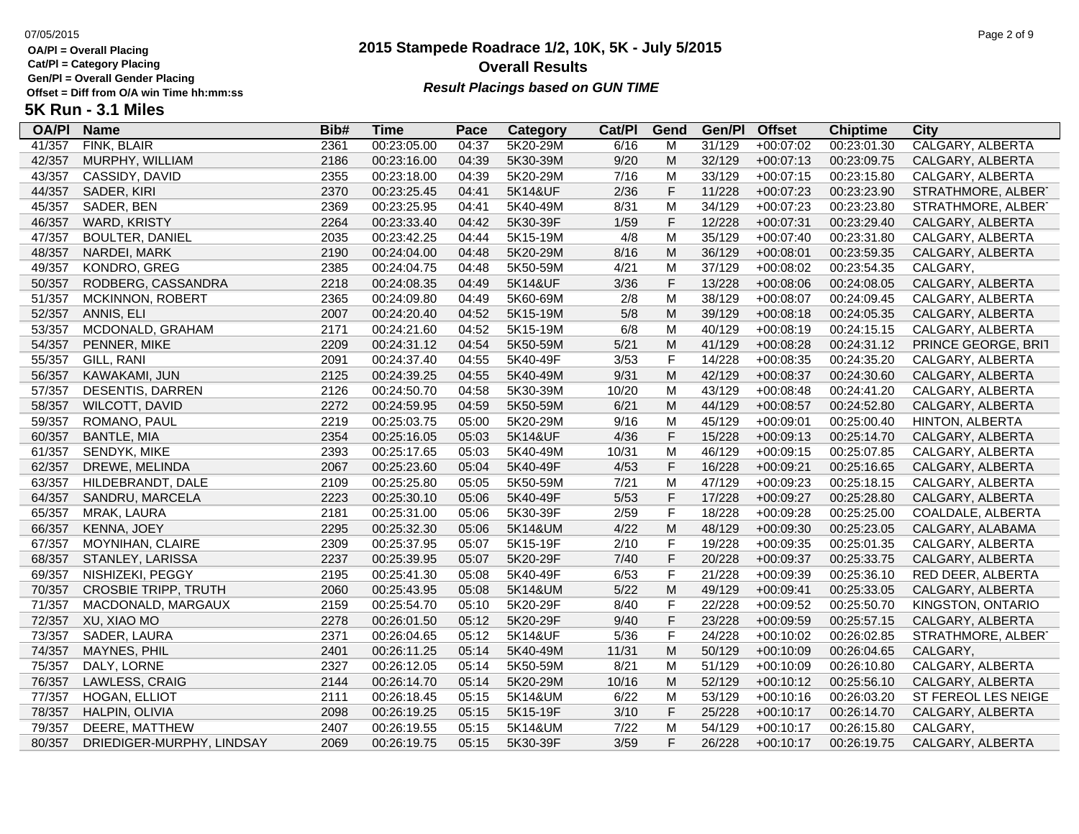**Cat/Pl = Category Placing**

**Gen/Pl = Overall Gender Placing**

## **2015 Stampede Roadrace 1/2, 10K, 5K - July 5/2015** 07/05/2015 Page 2 of 9 **Overall Results** Gen/PI = Overall Gender Placing<br>Offset = Diff from O/A win Time hh:mm:ss *Result Placings based on GUN TIME*

| <b>OA/PI</b> | <b>Name</b>                 | Bib# | <b>Time</b> | Pace  | Category | Cat/PI | Gend        | Gen/Pl | <b>Offset</b> | <b>Chiptime</b> | City                |
|--------------|-----------------------------|------|-------------|-------|----------|--------|-------------|--------|---------------|-----------------|---------------------|
| 41/357       | FINK, BLAIR                 | 2361 | 00:23:05.00 | 04:37 | 5K20-29M | 6/16   | M           | 31/129 | $+00:07:02$   | 00:23:01.30     | CALGARY, ALBERTA    |
| 42/357       | MURPHY, WILLIAM             | 2186 | 00:23:16.00 | 04:39 | 5K30-39M | 9/20   | M           | 32/129 | $+00:07:13$   | 00:23:09.75     | CALGARY, ALBERTA    |
| 43/357       | CASSIDY, DAVID              | 2355 | 00:23:18.00 | 04:39 | 5K20-29M | 7/16   | M           | 33/129 | $+00:07:15$   | 00:23:15.80     | CALGARY, ALBERTA    |
| 44/357       | SADER, KIRI                 | 2370 | 00:23:25.45 | 04:41 | 5K14&UF  | 2/36   | F           | 11/228 | $+00:07:23$   | 00:23:23.90     | STRATHMORE, ALBERT  |
| 45/357       | SADER, BEN                  | 2369 | 00:23:25.95 | 04:41 | 5K40-49M | 8/31   | M           | 34/129 | $+00:07:23$   | 00:23:23.80     | STRATHMORE, ALBERT  |
| 46/357       | <b>WARD, KRISTY</b>         | 2264 | 00:23:33.40 | 04:42 | 5K30-39F | 1/59   | $\mathsf F$ | 12/228 | $+00:07:31$   | 00:23:29.40     | CALGARY, ALBERTA    |
| 47/357       | <b>BOULTER, DANIEL</b>      | 2035 | 00:23:42.25 | 04:44 | 5K15-19M | 4/8    | M           | 35/129 | $+00:07:40$   | 00:23:31.80     | CALGARY, ALBERTA    |
| 48/357       | NARDEI, MARK                | 2190 | 00:24:04.00 | 04:48 | 5K20-29M | 8/16   | M           | 36/129 | $+00:08:01$   | 00:23:59.35     | CALGARY, ALBERTA    |
| 49/357       | KONDRO, GREG                | 2385 | 00:24:04.75 | 04:48 | 5K50-59M | 4/21   | M           | 37/129 | $+00:08:02$   | 00:23:54.35     | CALGARY,            |
| 50/357       | RODBERG, CASSANDRA          | 2218 | 00:24:08.35 | 04:49 | 5K14&UF  | 3/36   | F           | 13/228 | $+00:08:06$   | 00:24:08.05     | CALGARY, ALBERTA    |
| 51/357       | <b>MCKINNON, ROBERT</b>     | 2365 | 00:24:09.80 | 04:49 | 5K60-69M | 2/8    | M           | 38/129 | $+00:08:07$   | 00:24:09.45     | CALGARY, ALBERTA    |
| 52/357       | ANNIS, ELI                  | 2007 | 00:24:20.40 | 04:52 | 5K15-19M | 5/8    | M           | 39/129 | $+00:08:18$   | 00:24:05.35     | CALGARY, ALBERTA    |
| 53/357       | MCDONALD, GRAHAM            | 2171 | 00:24:21.60 | 04:52 | 5K15-19M | 6/8    | M           | 40/129 | $+00:08:19$   | 00:24:15.15     | CALGARY, ALBERTA    |
| 54/357       | PENNER, MIKE                | 2209 | 00:24:31.12 | 04:54 | 5K50-59M | 5/21   | M           | 41/129 | $+00:08:28$   | 00:24:31.12     | PRINCE GEORGE, BRIT |
| 55/357       | GILL, RANI                  | 2091 | 00:24:37.40 | 04:55 | 5K40-49F | 3/53   | $\mathsf F$ | 14/228 | $+00:08:35$   | 00:24:35.20     | CALGARY, ALBERTA    |
| 56/357       | KAWAKAMI, JUN               | 2125 | 00:24:39.25 | 04:55 | 5K40-49M | 9/31   | M           | 42/129 | $+00:08:37$   | 00:24:30.60     | CALGARY, ALBERTA    |
| 57/357       | DESENTIS, DARREN            | 2126 | 00:24:50.70 | 04:58 | 5K30-39M | 10/20  | м           | 43/129 | $+00:08:48$   | 00:24:41.20     | CALGARY, ALBERTA    |
| 58/357       | WILCOTT, DAVID              | 2272 | 00:24:59.95 | 04:59 | 5K50-59M | 6/21   | M           | 44/129 | $+00:08:57$   | 00:24:52.80     | CALGARY, ALBERTA    |
| 59/357       | ROMANO, PAUL                | 2219 | 00:25:03.75 | 05:00 | 5K20-29M | 9/16   | M           | 45/129 | $+00:09:01$   | 00:25:00.40     | HINTON, ALBERTA     |
| 60/357       | <b>BANTLE, MIA</b>          | 2354 | 00:25:16.05 | 05:03 | 5K14&UF  | 4/36   | $\mathsf F$ | 15/228 | $+00:09:13$   | 00:25:14.70     | CALGARY, ALBERTA    |
| 61/357       | SENDYK, MIKE                | 2393 | 00:25:17.65 | 05:03 | 5K40-49M | 10/31  | M           | 46/129 | $+00:09:15$   | 00:25:07.85     | CALGARY, ALBERTA    |
| 62/357       | DREWE, MELINDA              | 2067 | 00:25:23.60 | 05:04 | 5K40-49F | 4/53   | F           | 16/228 | $+00:09:21$   | 00:25:16.65     | CALGARY, ALBERTA    |
| 63/357       | HILDEBRANDT, DALE           | 2109 | 00:25:25.80 | 05:05 | 5K50-59M | 7/21   | M           | 47/129 | $+00:09:23$   | 00:25:18.15     | CALGARY, ALBERTA    |
| 64/357       | SANDRU, MARCELA             | 2223 | 00:25:30.10 | 05:06 | 5K40-49F | 5/53   | F           | 17/228 | +00:09:27     | 00:25:28.80     | CALGARY, ALBERTA    |
| 65/357       | MRAK, LAURA                 | 2181 | 00:25:31.00 | 05:06 | 5K30-39F | 2/59   | $\mathsf F$ | 18/228 | $+00:09:28$   | 00:25:25.00     | COALDALE, ALBERTA   |
| 66/357       | KENNA, JOEY                 | 2295 | 00:25:32.30 | 05:06 | 5K14&UM  | 4/22   | ${\sf M}$   | 48/129 | $+00:09:30$   | 00:25:23.05     | CALGARY, ALABAMA    |
| 67/357       | MOYNIHAN, CLAIRE            | 2309 | 00:25:37.95 | 05:07 | 5K15-19F | 2/10   | F           | 19/228 | $+00:09:35$   | 00:25:01.35     | CALGARY, ALBERTA    |
| 68/357       | STANLEY, LARISSA            | 2237 | 00:25:39.95 | 05:07 | 5K20-29F | 7/40   | F           | 20/228 | $+00:09:37$   | 00:25:33.75     | CALGARY, ALBERTA    |
| 69/357       | NISHIZEKI, PEGGY            | 2195 | 00:25:41.30 | 05:08 | 5K40-49F | 6/53   | $\mathsf F$ | 21/228 | $+00:09:39$   | 00:25:36.10     | RED DEER, ALBERTA   |
| 70/357       | <b>CROSBIE TRIPP, TRUTH</b> | 2060 | 00:25:43.95 | 05:08 | 5K14&UM  | $5/22$ | M           | 49/129 | $+00:09:41$   | 00:25:33.05     | CALGARY, ALBERTA    |
| 71/357       | MACDONALD, MARGAUX          | 2159 | 00:25:54.70 | 05:10 | 5K20-29F | 8/40   | $\mathsf F$ | 22/228 | $+00:09:52$   | 00:25:50.70     | KINGSTON, ONTARIO   |
| 72/357       | XU, XIAO MO                 | 2278 | 00:26:01.50 | 05:12 | 5K20-29F | 9/40   | F           | 23/228 | $+00:09:59$   | 00:25:57.15     | CALGARY, ALBERTA    |
| 73/357       | SADER, LAURA                | 2371 | 00:26:04.65 | 05:12 | 5K14&UF  | 5/36   | F           | 24/228 | $+00:10:02$   | 00:26:02.85     | STRATHMORE, ALBERT  |
| 74/357       | MAYNES, PHIL                | 2401 | 00:26:11.25 | 05:14 | 5K40-49M | 11/31  | M           | 50/129 | $+00:10:09$   | 00:26:04.65     | CALGARY,            |
| 75/357       | DALY, LORNE                 | 2327 | 00:26:12.05 | 05:14 | 5K50-59M | 8/21   | M           | 51/129 | $+00:10:09$   | 00:26:10.80     | CALGARY, ALBERTA    |
| 76/357       | LAWLESS, CRAIG              | 2144 | 00:26:14.70 | 05:14 | 5K20-29M | 10/16  | M           | 52/129 | $+00:10:12$   | 00:25:56.10     | CALGARY, ALBERTA    |
| 77/357       | HOGAN, ELLIOT               | 2111 | 00:26:18.45 | 05:15 | 5K14&UM  | 6/22   | M           | 53/129 | $+00:10:16$   | 00:26:03.20     | ST FEREOL LES NEIGE |
| 78/357       | HALPIN, OLIVIA              | 2098 | 00:26:19.25 | 05:15 | 5K15-19F | 3/10   | F           | 25/228 | $+00:10:17$   | 00:26:14.70     | CALGARY, ALBERTA    |
| 79/357       | DEERE, MATTHEW              | 2407 | 00:26:19.55 | 05:15 | 5K14&UM  | 7/22   | M           | 54/129 | $+00:10:17$   | 00:26:15.80     | <b>CALGARY</b>      |
| 80/357       | DRIEDIGER-MURPHY, LINDSAY   | 2069 | 00:26:19.75 | 05:15 | 5K30-39F | 3/59   | F           | 26/228 | $+00:10:17$   | 00:26:19.75     | CALGARY, ALBERTA    |
|              |                             |      |             |       |          |        |             |        |               |                 |                     |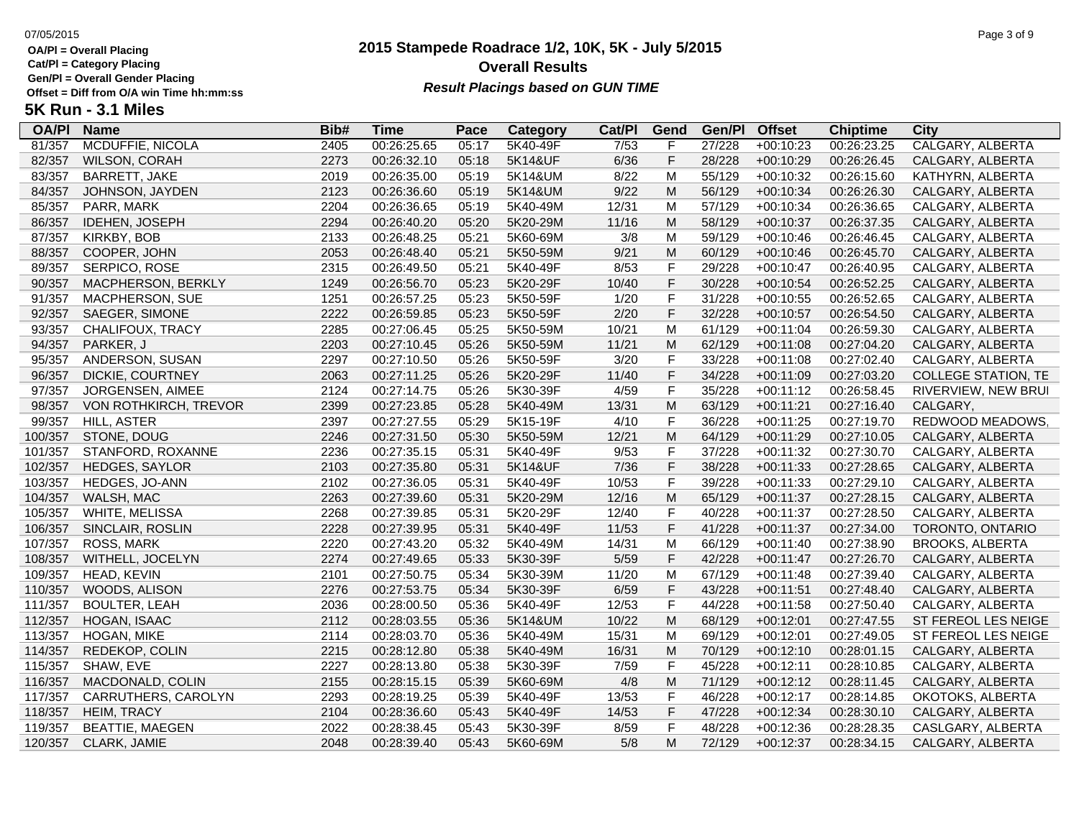**Cat/Pl = Category Placing**

**Gen/Pl = Overall Gender Placing**

### **2015 Stampede Roadrace 1/2, 10K, 5K - July 5/2015** 07/05/2015 Page 3 of 9 **Overall Results Result Placings based on GUN TIME**

| <b>OA/PI</b> | <b>Name</b>             | Bib# | <b>Time</b> | Pace  | Category | Cat/PI | Gend        | Gen/Pl | <b>Offset</b> | <b>Chiptime</b> | City                       |
|--------------|-------------------------|------|-------------|-------|----------|--------|-------------|--------|---------------|-----------------|----------------------------|
| 81/357       | <b>MCDUFFIE, NICOLA</b> | 2405 | 00:26:25.65 | 05:17 | 5K40-49F | 7/53   | F           | 27/228 | $+00:10:23$   | 00:26:23.25     | CALGARY, ALBERTA           |
| 82/357       | <b>WILSON, CORAH</b>    | 2273 | 00:26:32.10 | 05:18 | 5K14&UF  | 6/36   | F           | 28/228 | $+00:10:29$   | 00:26:26.45     | CALGARY, ALBERTA           |
| 83/357       | BARRETT, JAKE           | 2019 | 00:26:35.00 | 05:19 | 5K14&UM  | 8/22   | M           | 55/129 | $+00:10:32$   | 00:26:15.60     | KATHYRN, ALBERTA           |
| 84/357       | JOHNSON, JAYDEN         | 2123 | 00:26:36.60 | 05:19 | 5K14&UM  | 9/22   | M           | 56/129 | $+00:10:34$   | 00:26:26.30     | CALGARY, ALBERTA           |
| 85/357       | PARR, MARK              | 2204 | 00:26:36.65 | 05:19 | 5K40-49M | 12/31  | м           | 57/129 | $+00:10:34$   | 00:26:36.65     | CALGARY, ALBERTA           |
| 86/357       | IDEHEN, JOSEPH          | 2294 | 00:26:40.20 | 05:20 | 5K20-29M | 11/16  | M           | 58/129 | $+00:10:37$   | 00:26:37.35     | CALGARY, ALBERTA           |
| 87/357       | KIRKBY, BOB             | 2133 | 00:26:48.25 | 05:21 | 5K60-69M | 3/8    | M           | 59/129 | $+00:10:46$   | 00:26:46.45     | CALGARY, ALBERTA           |
| 88/357       | COOPER, JOHN            | 2053 | 00:26:48.40 | 05:21 | 5K50-59M | 9/21   | M           | 60/129 | $+00:10:46$   | 00:26:45.70     | CALGARY, ALBERTA           |
| 89/357       | SERPICO, ROSE           | 2315 | 00:26:49.50 | 05:21 | 5K40-49F | 8/53   | $\mathsf F$ | 29/228 | $+00:10:47$   | 00:26:40.95     | CALGARY, ALBERTA           |
| 90/357       | MACPHERSON, BERKLY      | 1249 | 00:26:56.70 | 05:23 | 5K20-29F | 10/40  | $\mathsf F$ | 30/228 | $+00:10:54$   | 00:26:52.25     | CALGARY, ALBERTA           |
| 91/357       | MACPHERSON, SUE         | 1251 | 00:26:57.25 | 05:23 | 5K50-59F | 1/20   | $\mathsf F$ | 31/228 | $+00:10:55$   | 00:26:52.65     | CALGARY, ALBERTA           |
| 92/357       | SAEGER, SIMONE          | 2222 | 00:26:59.85 | 05:23 | 5K50-59F | 2/20   | $\mathsf F$ | 32/228 | $+00:10:57$   | 00:26:54.50     | CALGARY, ALBERTA           |
| 93/357       | CHALIFOUX, TRACY        | 2285 | 00:27:06.45 | 05:25 | 5K50-59M | 10/21  | M           | 61/129 | $+00:11:04$   | 00:26:59.30     | CALGARY, ALBERTA           |
| 94/357       | PARKER, J               | 2203 | 00:27:10.45 | 05:26 | 5K50-59M | 11/21  | M           | 62/129 | $+00:11:08$   | 00:27:04.20     | CALGARY, ALBERTA           |
| 95/357       | ANDERSON, SUSAN         | 2297 | 00:27:10.50 | 05:26 | 5K50-59F | 3/20   | $\mathsf F$ | 33/228 | $+00:11:08$   | 00:27:02.40     | CALGARY, ALBERTA           |
| 96/357       | DICKIE, COURTNEY        | 2063 | 00:27:11.25 | 05:26 | 5K20-29F | 11/40  | $\mathsf F$ | 34/228 | $+00:11:09$   | 00:27:03.20     | <b>COLLEGE STATION, TE</b> |
| 97/357       | JORGENSEN, AIMEE        | 2124 | 00:27:14.75 | 05:26 | 5K30-39F | 4/59   | $\mathsf F$ | 35/228 | $+00:11:12$   | 00:26:58.45     | RIVERVIEW, NEW BRUI        |
| 98/357       | VON ROTHKIRCH, TREVOR   | 2399 | 00:27:23.85 | 05:28 | 5K40-49M | 13/31  | M           | 63/129 | $+00:11:21$   | 00:27:16.40     | CALGARY,                   |
| 99/357       | HILL, ASTER             | 2397 | 00:27:27.55 | 05:29 | 5K15-19F | 4/10   | F           | 36/228 | $+00:11:25$   | 00:27:19.70     | REDWOOD MEADOWS            |
| 100/357      | STONE, DOUG             | 2246 | 00:27:31.50 | 05:30 | 5K50-59M | 12/21  | M           | 64/129 | $+00:11:29$   | 00:27:10.05     | CALGARY, ALBERTA           |
| 101/357      | STANFORD, ROXANNE       | 2236 | 00:27:35.15 | 05:31 | 5K40-49F | 9/53   | $\mathsf F$ | 37/228 | $+00:11:32$   | 00:27:30.70     | CALGARY, ALBERTA           |
| 102/357      | HEDGES, SAYLOR          | 2103 | 00:27:35.80 | 05:31 | 5K14&UF  | 7/36   | $\mathsf F$ | 38/228 | $+00:11:33$   | 00:27:28.65     | CALGARY, ALBERTA           |
| 103/357      | HEDGES, JO-ANN          | 2102 | 00:27:36.05 | 05:31 | 5K40-49F | 10/53  | $\mathsf F$ | 39/228 | $+00:11:33$   | 00:27:29.10     | CALGARY, ALBERTA           |
| 104/357      | WALSH, MAC              | 2263 | 00:27:39.60 | 05:31 | 5K20-29M | 12/16  | M           | 65/129 | $+00:11:37$   | 00:27:28.15     | CALGARY, ALBERTA           |
| 105/357      | WHITE, MELISSA          | 2268 | 00:27:39.85 | 05:31 | 5K20-29F | 12/40  | $\mathsf F$ | 40/228 | $+00:11:37$   | 00:27:28.50     | CALGARY, ALBERTA           |
| 106/357      | SINCLAIR, ROSLIN        | 2228 | 00:27:39.95 | 05:31 | 5K40-49F | 11/53  | $\mathsf F$ | 41/228 | $+00:11:37$   | 00:27:34.00     | TORONTO, ONTARIO           |
| 107/357      | <b>ROSS, MARK</b>       | 2220 | 00:27:43.20 | 05:32 | 5K40-49M | 14/31  | M           | 66/129 | $+00:11:40$   | 00:27:38.90     | <b>BROOKS, ALBERTA</b>     |
| 108/357      | WITHELL, JOCELYN        | 2274 | 00:27:49.65 | 05:33 | 5K30-39F | 5/59   | $\mathsf F$ | 42/228 | $+00:11:47$   | 00:27:26.70     | CALGARY, ALBERTA           |
| 109/357      | HEAD, KEVIN             | 2101 | 00:27:50.75 | 05:34 | 5K30-39M | 11/20  | M           | 67/129 | $+00:11:48$   | 00:27:39.40     | CALGARY, ALBERTA           |
| 110/357      | WOODS, ALISON           | 2276 | 00:27:53.75 | 05:34 | 5K30-39F | 6/59   | $\mathsf F$ | 43/228 | $+00:11:51$   | 00:27:48.40     | CALGARY, ALBERTA           |
| 111/357      | <b>BOULTER, LEAH</b>    | 2036 | 00:28:00.50 | 05:36 | 5K40-49F | 12/53  | $\mathsf F$ | 44/228 | $+00:11:58$   | 00:27:50.40     | CALGARY, ALBERTA           |
| 112/357      | HOGAN, ISAAC            | 2112 | 00:28:03.55 | 05:36 | 5K14&UM  | 10/22  | M           | 68/129 | $+00:12:01$   | 00:27:47.55     | ST FEREOL LES NEIGE        |
| 113/357      | HOGAN, MIKE             | 2114 | 00:28:03.70 | 05:36 | 5K40-49M | 15/31  | M           | 69/129 | $+00:12:01$   | 00:27:49.05     | ST FEREOL LES NEIGE        |
| 114/357      | REDEKOP, COLIN          | 2215 | 00:28:12.80 | 05:38 | 5K40-49M | 16/31  | M           | 70/129 | $+00:12:10$   | 00:28:01.15     | CALGARY, ALBERTA           |
| 115/357      | SHAW, EVE               | 2227 | 00:28:13.80 | 05:38 | 5K30-39F | 7/59   | F           | 45/228 | $+00:12:11$   | 00:28:10.85     | CALGARY, ALBERTA           |
| 116/357      | MACDONALD, COLIN        | 2155 | 00:28:15.15 | 05:39 | 5K60-69M | 4/8    | M           | 71/129 | $+00:12:12$   | 00:28:11.45     | CALGARY, ALBERTA           |
| 117/357      | CARRUTHERS, CAROLYN     | 2293 | 00:28:19.25 | 05:39 | 5K40-49F | 13/53  | $\mathsf F$ | 46/228 | $+00:12:17$   | 00:28:14.85     | OKOTOKS, ALBERTA           |
| 118/357      | <b>HEIM, TRACY</b>      | 2104 | 00:28:36.60 | 05:43 | 5K40-49F | 14/53  | $\mathsf F$ | 47/228 | $+00:12:34$   | 00:28:30.10     | CALGARY, ALBERTA           |
| 119/357      | <b>BEATTIE, MAEGEN</b>  | 2022 | 00:28:38.45 | 05:43 | 5K30-39F | 8/59   | $\mathsf F$ | 48/228 | $+00:12:36$   | 00:28:28.35     | CASLGARY, ALBERTA          |
| 120/357      | CLARK, JAMIE            | 2048 | 00:28:39.40 | 05:43 | 5K60-69M | 5/8    | M           | 72/129 | $+00:12:37$   | 00:28:34.15     | CALGARY, ALBERTA           |
|              |                         |      |             |       |          |        |             |        |               |                 |                            |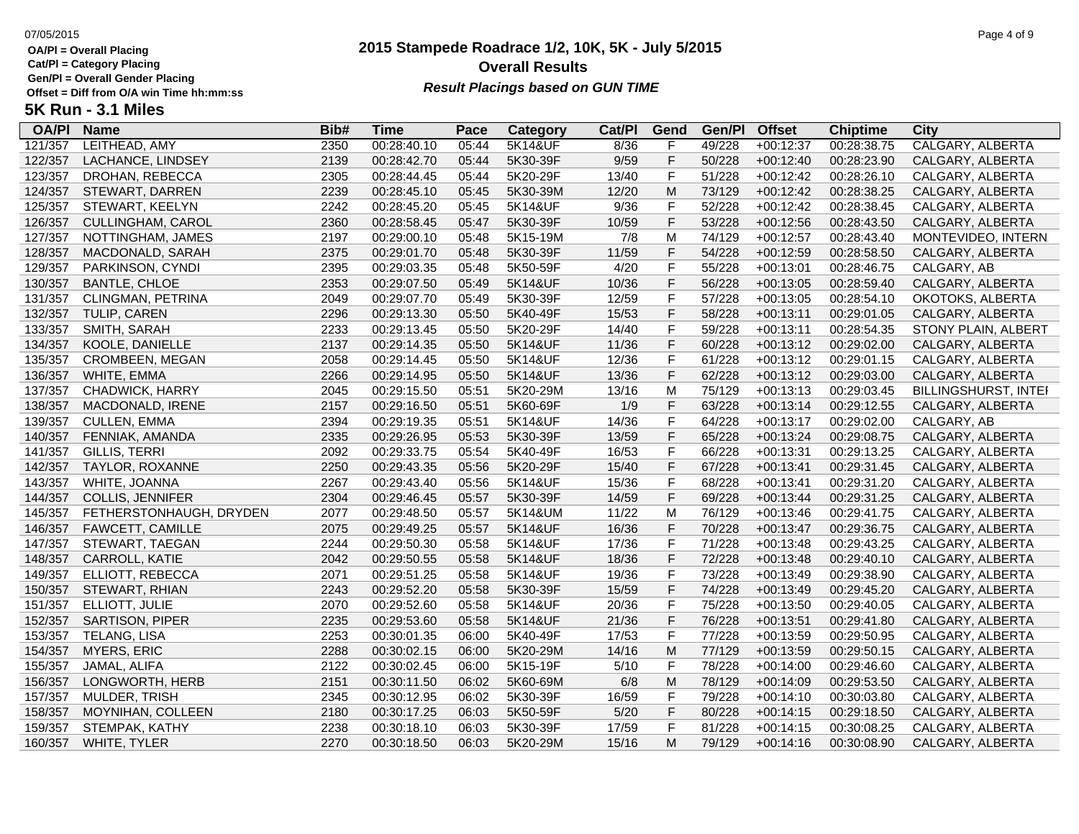**Cat/Pl = Category Placing**

**Gen/Pl = Overall Gender Placing**

### **2015 Stampede Roadrace 1/2, 10K, 5K - July 5/2015** 07/05/2015 Page 4 of 9 **Overall Results Result Placings based on GUN TIME**

| <b>OA/PI</b> | <b>Name</b>             | Bib# | Time        | Pace  | Category           | Cat/Pl | Gend           | Gen/Pl | <b>Offset</b> | <b>Chiptime</b> | City                 |
|--------------|-------------------------|------|-------------|-------|--------------------|--------|----------------|--------|---------------|-----------------|----------------------|
| 121/357      | LEITHEAD, AMY           | 2350 | 00:28:40.10 | 05:44 | <b>5K14&amp;UF</b> | 8/36   | F              | 49/228 | $+00:12:37$   | 00:28:38.75     | CALGARY, ALBERTA     |
| 122/357      | LACHANCE, LINDSEY       | 2139 | 00:28:42.70 | 05:44 | 5K30-39F           | 9/59   | F              | 50/228 | $+00:12:40$   | 00:28:23.90     | CALGARY, ALBERTA     |
| 123/357      | DROHAN, REBECCA         | 2305 | 00:28:44.45 | 05:44 | 5K20-29F           | 13/40  | $\mathsf F$    | 51/228 | $+00:12:42$   | 00:28:26.10     | CALGARY, ALBERTA     |
| 124/357      | STEWART, DARREN         | 2239 | 00:28:45.10 | 05:45 | 5K30-39M           | 12/20  | M              | 73/129 | $+00:12:42$   | 00:28:38.25     | CALGARY, ALBERTA     |
| 125/357      | STEWART, KEELYN         | 2242 | 00:28:45.20 | 05:45 | 5K14&UF            | 9/36   | F              | 52/228 | $+00:12:42$   | 00:28:38.45     | CALGARY, ALBERTA     |
| 126/357      | CULLINGHAM, CAROL       | 2360 | 00:28:58.45 | 05:47 | 5K30-39F           | 10/59  | F              | 53/228 | $+00:12:56$   | 00:28:43.50     | CALGARY, ALBERTA     |
| 127/357      | NOTTINGHAM, JAMES       | 2197 | 00:29:00.10 | 05:48 | 5K15-19M           | 7/8    | M              | 74/129 | $+00:12:57$   | 00:28:43.40     | MONTEVIDEO, INTERN   |
| 128/357      | MACDONALD, SARAH        | 2375 | 00:29:01.70 | 05:48 | 5K30-39F           | 11/59  | $\mathsf F$    | 54/228 | $+00:12:59$   | 00:28:58.50     | CALGARY, ALBERTA     |
| 129/357      | PARKINSON, CYNDI        | 2395 | 00:29:03.35 | 05:48 | 5K50-59F           | 4/20   | $\mathsf F$    | 55/228 | $+00:13:01$   | 00:28:46.75     | CALGARY, AB          |
| 130/357      | <b>BANTLE, CHLOE</b>    | 2353 | 00:29:07.50 | 05:49 | 5K14&UF            | 10/36  | $\mathsf F$    | 56/228 | $+00:13:05$   | 00:28:59.40     | CALGARY, ALBERTA     |
| 131/357      | CLINGMAN, PETRINA       | 2049 | 00:29:07.70 | 05:49 | 5K30-39F           | 12/59  | F              | 57/228 | $+00:13:05$   | 00:28:54.10     | OKOTOKS, ALBERTA     |
| 132/357      | <b>TULIP, CAREN</b>     | 2296 | 00:29:13.30 | 05:50 | 5K40-49F           | 15/53  | $\mathsf F$    | 58/228 | $+00:13:11$   | 00:29:01.05     | CALGARY, ALBERTA     |
| 133/357      | SMITH, SARAH            | 2233 | 00:29:13.45 | 05:50 | 5K20-29F           | 14/40  | $\mathsf F$    | 59/228 | $+00:13:11$   | 00:28:54.35     | STONY PLAIN, ALBERT  |
| 134/357      | KOOLE, DANIELLE         | 2137 | 00:29:14.35 | 05:50 | 5K14&UF            | 11/36  | $\mathsf F$    | 60/228 | $+00:13:12$   | 00:29:02.00     | CALGARY, ALBERTA     |
| 135/357      | CROMBEEN, MEGAN         | 2058 | 00:29:14.45 | 05:50 | 5K14&UF            | 12/36  | $\mathsf F$    | 61/228 | $+00:13:12$   | 00:29:01.15     | CALGARY, ALBERTA     |
| 136/357      | WHITE, EMMA             | 2266 | 00:29:14.95 | 05:50 | 5K14&UF            | 13/36  | $\mathsf F$    | 62/228 | $+00:13:12$   | 00:29:03.00     | CALGARY, ALBERTA     |
| 137/357      | CHADWICK, HARRY         | 2045 | 00:29:15.50 | 05:51 | 5K20-29M           | 13/16  | М              | 75/129 | $+00:13:13$   | 00:29:03.45     | BILLINGSHURST, INTEI |
| 138/357      | MACDONALD, IRENE        | 2157 | 00:29:16.50 | 05:51 | 5K60-69F           | 1/9    | $\mathsf{F}$   | 63/228 | $+00:13:14$   | 00:29:12.55     | CALGARY, ALBERTA     |
| 139/357      | <b>CULLEN, EMMA</b>     | 2394 | 00:29:19.35 | 05:51 | 5K14&UF            | 14/36  | $\mathsf F$    | 64/228 | $+00:13:17$   | 00:29:02.00     | CALGARY, AB          |
| 140/357      | FENNIAK, AMANDA         | 2335 | 00:29:26.95 | 05:53 | 5K30-39F           | 13/59  | $\mathsf F$    | 65/228 | $+00:13:24$   | 00:29:08.75     | CALGARY, ALBERTA     |
| 141/357      | <b>GILLIS, TERRI</b>    | 2092 | 00:29:33.75 | 05:54 | 5K40-49F           | 16/53  | $\mathsf F$    | 66/228 | $+00:13:31$   | 00:29:13.25     | CALGARY, ALBERTA     |
| 142/357      | TAYLOR, ROXANNE         | 2250 | 00:29:43.35 | 05:56 | 5K20-29F           | 15/40  | $\mathsf F$    | 67/228 | $+00:13:41$   | 00:29:31.45     | CALGARY, ALBERTA     |
| 143/357      | WHITE, JOANNA           | 2267 | 00:29:43.40 | 05:56 | 5K14&UF            | 15/36  | $\mathsf F$    | 68/228 | $+00:13:41$   | 00:29:31.20     | CALGARY, ALBERTA     |
| 144/357      | <b>COLLIS, JENNIFER</b> | 2304 | 00:29:46.45 | 05:57 | 5K30-39F           | 14/59  | $\mathsf F$    | 69/228 | $+00:13:44$   | 00:29:31.25     | CALGARY, ALBERTA     |
| 145/357      | FETHERSTONHAUGH, DRYDEN | 2077 | 00:29:48.50 | 05:57 | 5K14&UM            | 11/22  | M              | 76/129 | $+00:13:46$   | 00:29:41.75     | CALGARY, ALBERTA     |
| 146/357      | FAWCETT, CAMILLE        | 2075 | 00:29:49.25 | 05:57 | 5K14&UF            | 16/36  | $\mathsf F$    | 70/228 | $+00:13:47$   | 00:29:36.75     | CALGARY, ALBERTA     |
| 147/357      | STEWART, TAEGAN         | 2244 | 00:29:50.30 | 05:58 | 5K14&UF            | 17/36  | $\mathsf F$    | 71/228 | $+00:13:48$   | 00:29:43.25     | CALGARY, ALBERTA     |
| 148/357      | CARROLL, KATIE          | 2042 | 00:29:50.55 | 05:58 | 5K14&UF            | 18/36  | $\mathsf F$    | 72/228 | $+00:13:48$   | 00:29:40.10     | CALGARY, ALBERTA     |
| 149/357      | ELLIOTT, REBECCA        | 2071 | 00:29:51.25 | 05:58 | 5K14&UF            | 19/36  | $\mathsf F$    | 73/228 | $+00:13:49$   | 00:29:38.90     | CALGARY, ALBERTA     |
| 150/357      | STEWART, RHIAN          | 2243 | 00:29:52.20 | 05:58 | 5K30-39F           | 15/59  | $\mathsf F$    | 74/228 | $+00:13:49$   | 00:29:45.20     | CALGARY, ALBERTA     |
| 151/357      | ELLIOTT, JULIE          | 2070 | 00:29:52.60 | 05:58 | 5K14&UF            | 20/36  | $\mathsf F$    | 75/228 | $+00:13:50$   | 00:29:40.05     | CALGARY, ALBERTA     |
| 152/357      | <b>SARTISON, PIPER</b>  | 2235 | 00:29:53.60 | 05:58 | 5K14&UF            | 21/36  | $\mathsf F$    | 76/228 | $+00:13:51$   | 00:29:41.80     | CALGARY, ALBERTA     |
| 153/357      | <b>TELANG, LISA</b>     | 2253 | 00:30:01.35 | 06:00 | 5K40-49F           | 17/53  | $\overline{F}$ | 77/228 | $+00:13:59$   | 00:29:50.95     | CALGARY, ALBERTA     |
| 154/357      | <b>MYERS, ERIC</b>      | 2288 | 00:30:02.15 | 06:00 | 5K20-29M           | 14/16  | M              | 77/129 | $+00:13:59$   | 00:29:50.15     | CALGARY, ALBERTA     |
| 155/357      | JAMAL, ALIFA            | 2122 | 00:30:02.45 | 06:00 | 5K15-19F           | 5/10   | $\mathsf F$    | 78/228 | $+00:14:00$   | 00:29:46.60     | CALGARY, ALBERTA     |
| 156/357      | LONGWORTH, HERB         | 2151 | 00:30:11.50 | 06:02 | 5K60-69M           | 6/8    | M              | 78/129 | $+00:14:09$   | 00:29:53.50     | CALGARY, ALBERTA     |
| 157/357      | MULDER, TRISH           | 2345 | 00:30:12.95 | 06:02 | 5K30-39F           | 16/59  | $\mathsf F$    | 79/228 | $+00:14:10$   | 00:30:03.80     | CALGARY, ALBERTA     |
| 158/357      | MOYNIHAN, COLLEEN       | 2180 | 00:30:17.25 | 06:03 | 5K50-59F           | 5/20   | $\mathsf{F}$   | 80/228 | $+00:14:15$   | 00:29:18.50     | CALGARY, ALBERTA     |
| 159/357      | STEMPAK, KATHY          | 2238 | 00:30:18.10 | 06:03 | 5K30-39F           | 17/59  | F              | 81/228 | $+00:14:15$   | 00:30:08.25     | CALGARY, ALBERTA     |
| 160/357      | WHITE, TYLER            | 2270 | 00:30:18.50 | 06:03 | 5K20-29M           | 15/16  | M              | 79/129 | $+00:14:16$   | 00:30:08.90     | CALGARY, ALBERTA     |
|              |                         |      |             |       |                    |        |                |        |               |                 |                      |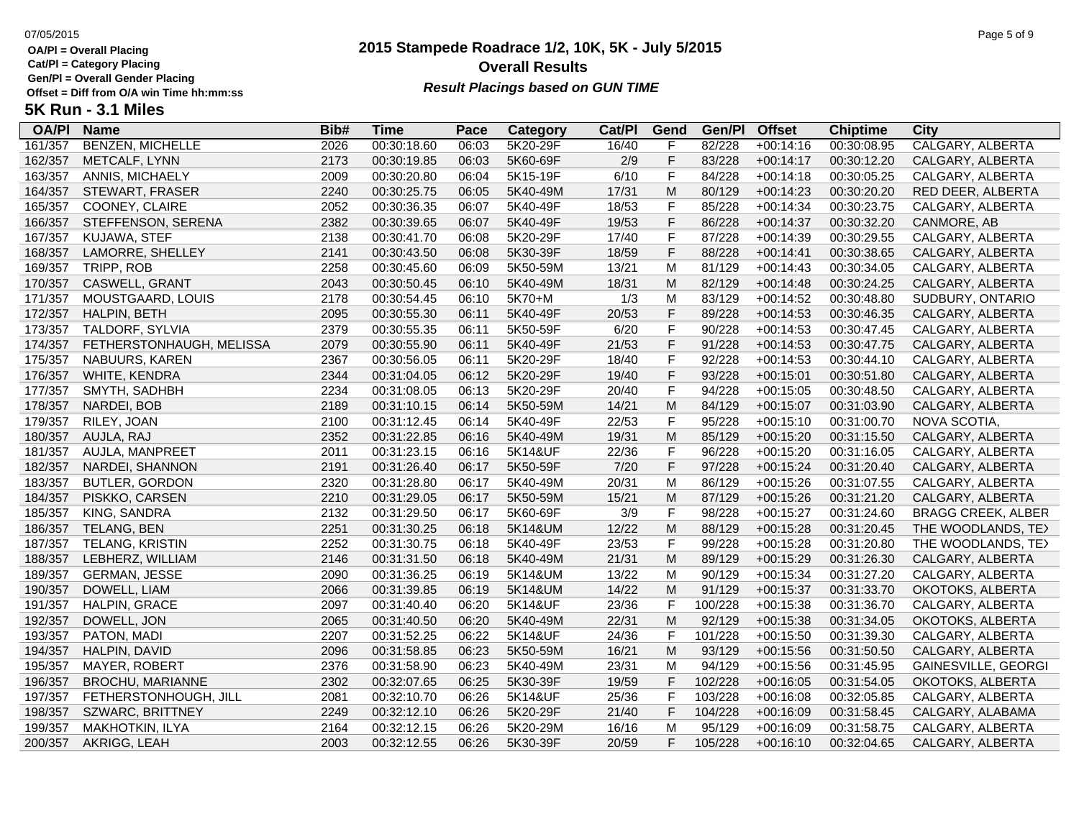**Cat/Pl = Category Placing**

**Gen/Pl = Overall Gender Placing**

### **2015 Stampede Roadrace 1/2, 10K, 5K - July 5/2015** 07/05/2015 Page 5 of 9 **Overall Results Result Placings based on GUN TIME**

| <b>OA/PI</b> | <b>Name</b>              | Bib# | Time        | Pace  | Category | Cat/Pl | Gend         | Gen/Pl  | <b>Offset</b> | <b>Chiptime</b> | City                      |
|--------------|--------------------------|------|-------------|-------|----------|--------|--------------|---------|---------------|-----------------|---------------------------|
| 161/357      | <b>BENZEN, MICHELLE</b>  | 2026 | 00:30:18.60 | 06:03 | 5K20-29F | 16/40  | F            | 82/228  | $+00:14:16$   | 00:30:08.95     | CALGARY, ALBERTA          |
| 162/357      | METCALF, LYNN            | 2173 | 00:30:19.85 | 06:03 | 5K60-69F | 2/9    | F            | 83/228  | $+00:14:17$   | 00:30:12.20     | CALGARY, ALBERTA          |
| 163/357      | ANNIS, MICHAELY          | 2009 | 00:30:20.80 | 06:04 | 5K15-19F | 6/10   | F            | 84/228  | $+00:14:18$   | 00:30:05.25     | CALGARY, ALBERTA          |
| 164/357      | STEWART, FRASER          | 2240 | 00:30:25.75 | 06:05 | 5K40-49M | 17/31  | M            | 80/129  | $+00:14:23$   | 00:30:20.20     | RED DEER, ALBERTA         |
| 165/357      | COONEY, CLAIRE           | 2052 | 00:30:36.35 | 06:07 | 5K40-49F | 18/53  | F            | 85/228  | $+00:14:34$   | 00:30:23.75     | CALGARY, ALBERTA          |
| 166/357      | STEFFENSON, SERENA       | 2382 | 00:30:39.65 | 06:07 | 5K40-49F | 19/53  | F            | 86/228  | $+00:14:37$   | 00:30:32.20     | CANMORE, AB               |
| 167/357      | KUJAWA, STEF             | 2138 | 00:30:41.70 | 06:08 | 5K20-29F | 17/40  | $\mathsf F$  | 87/228  | $+00:14:39$   | 00:30:29.55     | CALGARY, ALBERTA          |
| 168/357      | LAMORRE, SHELLEY         | 2141 | 00:30:43.50 | 06:08 | 5K30-39F | 18/59  | $\mathsf F$  | 88/228  | $+00:14:41$   | 00:30:38.65     | CALGARY, ALBERTA          |
| 169/357      | TRIPP, ROB               | 2258 | 00:30:45.60 | 06:09 | 5K50-59M | 13/21  | M            | 81/129  | $+00:14:43$   | 00:30:34.05     | CALGARY, ALBERTA          |
| 170/357      | CASWELL, GRANT           | 2043 | 00:30:50.45 | 06:10 | 5K40-49M | 18/31  | M            | 82/129  | $+00:14:48$   | 00:30:24.25     | CALGARY, ALBERTA          |
| 171/357      | MOUSTGAARD, LOUIS        | 2178 | 00:30:54.45 | 06:10 | 5K70+M   | 1/3    | M            | 83/129  | $+00:14:52$   | 00:30:48.80     | SUDBURY, ONTARIO          |
| 172/357      | HALPIN, BETH             | 2095 | 00:30:55.30 | 06:11 | 5K40-49F | 20/53  | F            | 89/228  | $+00:14:53$   | 00:30:46.35     | CALGARY, ALBERTA          |
| 173/357      | TALDORF, SYLVIA          | 2379 | 00:30:55.35 | 06:11 | 5K50-59F | 6/20   | F            | 90/228  | $+00:14:53$   | 00:30:47.45     | CALGARY, ALBERTA          |
| 174/357      | FETHERSTONHAUGH, MELISSA | 2079 | 00:30:55.90 | 06:11 | 5K40-49F | 21/53  | F            | 91/228  | $+00:14:53$   | 00:30:47.75     | CALGARY, ALBERTA          |
| 175/357      | NABUURS, KAREN           | 2367 | 00:30:56.05 | 06:11 | 5K20-29F | 18/40  | $\mathsf{F}$ | 92/228  | $+00:14:53$   | 00:30:44.10     | CALGARY, ALBERTA          |
| 176/357      | WHITE, KENDRA            | 2344 | 00:31:04.05 | 06:12 | 5K20-29F | 19/40  | F            | 93/228  | $+00:15:01$   | 00:30:51.80     | CALGARY, ALBERTA          |
| 177/357      | SMYTH, SADHBH            | 2234 | 00:31:08.05 | 06:13 | 5K20-29F | 20/40  | F            | 94/228  | $+00:15:05$   | 00:30:48.50     | CALGARY, ALBERTA          |
| 178/357      | NARDEI, BOB              | 2189 | 00:31:10.15 | 06:14 | 5K50-59M | 14/21  | M            | 84/129  | $+00:15:07$   | 00:31:03.90     | CALGARY, ALBERTA          |
| 179/357      | RILEY, JOAN              | 2100 | 00:31:12.45 | 06:14 | 5K40-49F | 22/53  | F            | 95/228  | $+00:15:10$   | 00:31:00.70     | NOVA SCOTIA,              |
| 180/357      | AUJLA, RAJ               | 2352 | 00:31:22.85 | 06:16 | 5K40-49M | 19/31  | M            | 85/129  | $+00:15:20$   | 00:31:15.50     | CALGARY, ALBERTA          |
| 181/357      | AUJLA, MANPREET          | 2011 | 00:31:23.15 | 06:16 | 5K14&UF  | 22/36  | F            | 96/228  | $+00:15:20$   | 00:31:16.05     | CALGARY, ALBERTA          |
| 182/357      | NARDEI, SHANNON          | 2191 | 00:31:26.40 | 06:17 | 5K50-59F | 7/20   | $\mathsf F$  | 97/228  | $+00:15:24$   | 00:31:20.40     | CALGARY, ALBERTA          |
| 183/357      | <b>BUTLER, GORDON</b>    | 2320 | 00:31:28.80 | 06:17 | 5K40-49M | 20/31  | M            | 86/129  | $+00:15:26$   | 00:31:07.55     | CALGARY, ALBERTA          |
| 184/357      | PISKKO, CARSEN           | 2210 | 00:31:29.05 | 06:17 | 5K50-59M | 15/21  | M            | 87/129  | $+00:15:26$   | 00:31:21.20     | CALGARY, ALBERTA          |
| 185/357      | KING, SANDRA             | 2132 | 00:31:29.50 | 06:17 | 5K60-69F | 3/9    | F            | 98/228  | $+00:15:27$   | 00:31:24.60     | <b>BRAGG CREEK, ALBER</b> |
| 186/357      | TELANG, BEN              | 2251 | 00:31:30.25 | 06:18 | 5K14&UM  | 12/22  | M            | 88/129  | $+00:15:28$   | 00:31:20.45     | THE WOODLANDS, TE>        |
| 187/357      | TELANG, KRISTIN          | 2252 | 00:31:30.75 | 06:18 | 5K40-49F | 23/53  | F            | 99/228  | $+00:15:28$   | 00:31:20.80     | THE WOODLANDS, TE>        |
| 188/357      | LEBHERZ, WILLIAM         | 2146 | 00:31:31.50 | 06:18 | 5K40-49M | 21/31  | M            | 89/129  | $+00:15:29$   | 00:31:26.30     | CALGARY, ALBERTA          |
| 189/357      | <b>GERMAN, JESSE</b>     | 2090 | 00:31:36.25 | 06:19 | 5K14&UM  | 13/22  | M            | 90/129  | $+00:15:34$   | 00:31:27.20     | CALGARY, ALBERTA          |
| 190/357      | DOWELL, LIAM             | 2066 | 00:31:39.85 | 06:19 | 5K14&UM  | 14/22  | M            | 91/129  | $+00:15:37$   | 00:31:33.70     | OKOTOKS, ALBERTA          |
| 191/357      | <b>HALPIN, GRACE</b>     | 2097 | 00:31:40.40 | 06:20 | 5K14&UF  | 23/36  | $\mathsf F$  | 100/228 | $+00:15:38$   | 00:31:36.70     | CALGARY, ALBERTA          |
| 192/357      | DOWELL, JON              | 2065 | 00:31:40.50 | 06:20 | 5K40-49M | 22/31  | M            | 92/129  | $+00:15:38$   | 00:31:34.05     | OKOTOKS, ALBERTA          |
| 193/357      | PATON, MADI              | 2207 | 00:31:52.25 | 06:22 | 5K14&UF  | 24/36  | F            | 101/228 | $+00:15:50$   | 00:31:39.30     | CALGARY, ALBERTA          |
| 194/357      | HALPIN, DAVID            | 2096 | 00:31:58.85 | 06:23 | 5K50-59M | 16/21  | M            | 93/129  | $+00:15:56$   | 00:31:50.50     | CALGARY, ALBERTA          |
| 195/357      | MAYER, ROBERT            | 2376 | 00:31:58.90 | 06:23 | 5K40-49M | 23/31  | M            | 94/129  | $+00:15:56$   | 00:31:45.95     | GAINESVILLE, GEORGI       |
| 196/357      | BROCHU, MARIANNE         | 2302 | 00:32:07.65 | 06:25 | 5K30-39F | 19/59  | F            | 102/228 | $+00:16:05$   | 00:31:54.05     | OKOTOKS, ALBERTA          |
| 197/357      | FETHERSTONHOUGH, JILL    | 2081 | 00:32:10.70 | 06:26 | 5K14&UF  | 25/36  | F            | 103/228 | $+00:16:08$   | 00:32:05.85     | CALGARY, ALBERTA          |
| 198/357      | SZWARC, BRITTNEY         | 2249 | 00:32:12.10 | 06:26 | 5K20-29F | 21/40  | F            | 104/228 | $+00:16:09$   | 00:31:58.45     | CALGARY, ALABAMA          |
| 199/357      | <b>MAKHOTKIN, ILYA</b>   | 2164 | 00:32:12.15 | 06:26 | 5K20-29M | 16/16  | M            | 95/129  | $+00:16:09$   | 00:31:58.75     | CALGARY, ALBERTA          |
| 200/357      | AKRIGG, LEAH             | 2003 | 00:32:12.55 | 06:26 | 5K30-39F | 20/59  | F            | 105/228 | $+00:16:10$   | 00:32:04.65     | CALGARY, ALBERTA          |
|              |                          |      |             |       |          |        |              |         |               |                 |                           |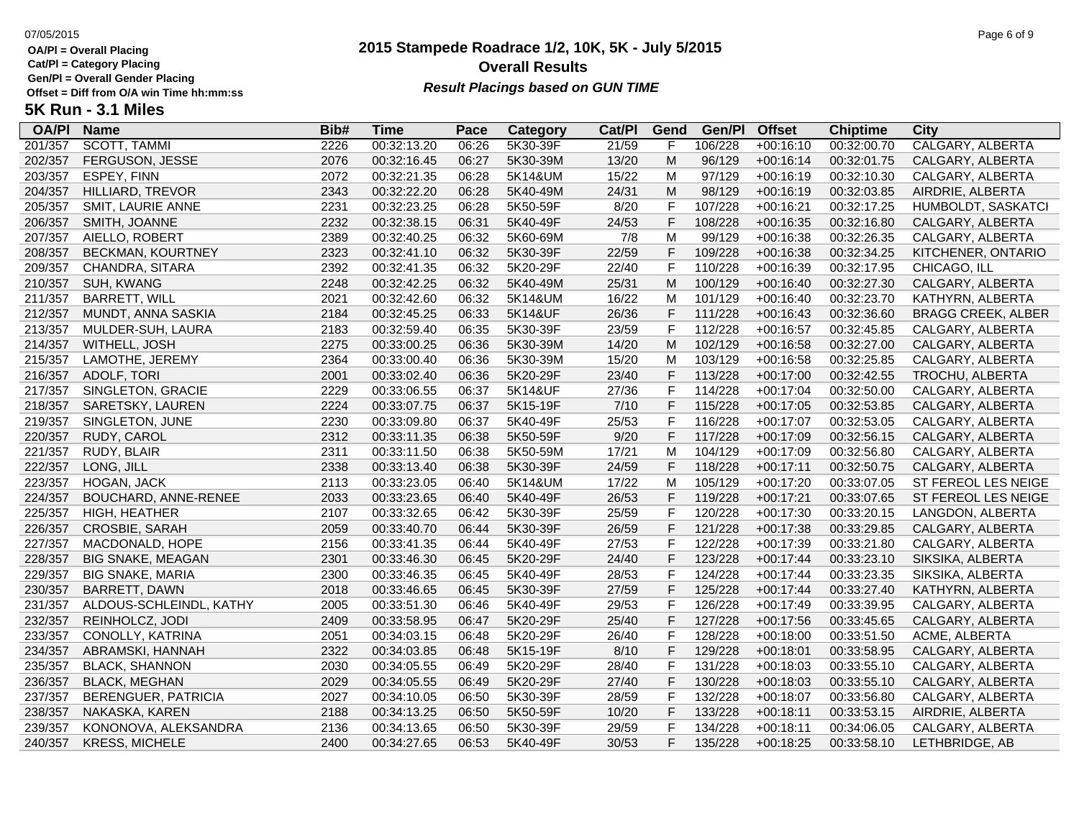**Cat/Pl = Category Placing**

**Gen/Pl = Overall Gender Placing**

## **2015 Stampede Roadrace 1/2, 10K, 5K - July 5/2015** 07/05/2015 Page 6 of 9 **Overall Results** Gen/PI = Overall Gender Placing<br>Offset = Diff from O/A win Time hh:mm:ss *Result Placings based on GUN TIME*

| <b>OA/PI</b> | <b>Name</b>              | Bib# | <b>Time</b> | Pace  | Category | Cat/PI | Gend | Gen/Pl  | <b>Offset</b> | <b>Chiptime</b> | City                      |
|--------------|--------------------------|------|-------------|-------|----------|--------|------|---------|---------------|-----------------|---------------------------|
| 201/357      | <b>SCOTT, TAMMI</b>      | 2226 | 00:32:13.20 | 06:26 | 5K30-39F | 21/59  | F    | 106/228 | $+00:16:10$   | 00:32:00.70     | <b>CALGARY, ALBERTA</b>   |
| 202/357      | FERGUSON, JESSE          | 2076 | 00:32:16.45 | 06:27 | 5K30-39M | 13/20  | M    | 96/129  | $+00:16:14$   | 00:32:01.75     | CALGARY, ALBERTA          |
| 203/357      | ESPEY, FINN              | 2072 | 00:32:21.35 | 06:28 | 5K14&UM  | 15/22  | м    | 97/129  | $+00:16:19$   | 00:32:10.30     | CALGARY, ALBERTA          |
| 204/357      | <b>HILLIARD, TREVOR</b>  | 2343 | 00:32:22.20 | 06:28 | 5K40-49M | 24/31  | M    | 98/129  | $+00:16:19$   | 00:32:03.85     | AIRDRIE, ALBERTA          |
| 205/357      | <b>SMIT, LAURIE ANNE</b> | 2231 | 00:32:23.25 | 06:28 | 5K50-59F | 8/20   | F    | 107/228 | $+00:16:21$   | 00:32:17.25     | HUMBOLDT, SASKATCI        |
| 206/357      | SMITH, JOANNE            | 2232 | 00:32:38.15 | 06:31 | 5K40-49F | 24/53  | F    | 108/228 | $+00:16:35$   | 00:32:16.80     | CALGARY, ALBERTA          |
| 207/357      | AIELLO, ROBERT           | 2389 | 00:32:40.25 | 06:32 | 5K60-69M | 7/8    | M    | 99/129  | $+00:16:38$   | 00:32:26.35     | CALGARY, ALBERTA          |
| 208/357      | <b>BECKMAN, KOURTNEY</b> | 2323 | 00:32:41.10 | 06:32 | 5K30-39F | 22/59  | F    | 109/228 | $+00:16:38$   | 00:32:34.25     | KITCHENER, ONTARIO        |
| 209/357      | CHANDRA, SITARA          | 2392 | 00:32:41.35 | 06:32 | 5K20-29F | 22/40  | F    | 110/228 | $+00:16:39$   | 00:32:17.95     | CHICAGO, ILL              |
| 210/357      | SUH, KWANG               | 2248 | 00:32:42.25 | 06:32 | 5K40-49M | 25/31  | M    | 100/129 | $+00:16:40$   | 00:32:27.30     | CALGARY, ALBERTA          |
| 211/357      | <b>BARRETT, WILL</b>     | 2021 | 00:32:42.60 | 06:32 | 5K14&UM  | 16/22  | M    | 101/129 | $+00:16:40$   | 00:32:23.70     | KATHYRN, ALBERTA          |
| 212/357      | MUNDT, ANNA SASKIA       | 2184 | 00:32:45.25 | 06:33 | 5K14&UF  | 26/36  | F    | 111/228 | $+00:16:43$   | 00:32:36.60     | <b>BRAGG CREEK, ALBER</b> |
| 213/357      | MULDER-SUH, LAURA        | 2183 | 00:32:59.40 | 06:35 | 5K30-39F | 23/59  | F    | 112/228 | $+00:16:57$   | 00:32:45.85     | CALGARY, ALBERTA          |
| 214/357      | WITHELL, JOSH            | 2275 | 00:33:00.25 | 06:36 | 5K30-39M | 14/20  | M    | 102/129 | $+00:16:58$   | 00:32:27.00     | CALGARY, ALBERTA          |
| 215/357      | LAMOTHE, JEREMY          | 2364 | 00:33:00.40 | 06:36 | 5K30-39M | 15/20  | М    | 103/129 | $+00:16:58$   | 00:32:25.85     | CALGARY, ALBERTA          |
| 216/357      | <b>ADOLF, TORI</b>       | 2001 | 00:33:02.40 | 06:36 | 5K20-29F | 23/40  | F    | 113/228 | $+00:17:00$   | 00:32:42.55     | TROCHU, ALBERTA           |
| 217/357      | SINGLETON, GRACIE        | 2229 | 00:33:06.55 | 06:37 | 5K14&UF  | 27/36  | F    | 114/228 | $+00:17:04$   | 00:32:50.00     | CALGARY, ALBERTA          |
| 218/357      | SARETSKY, LAUREN         | 2224 | 00:33:07.75 | 06:37 | 5K15-19F | 7/10   | F    | 115/228 | $+00:17:05$   | 00:32:53.85     | CALGARY, ALBERTA          |
| 219/357      | SINGLETON, JUNE          | 2230 | 00:33:09.80 | 06:37 | 5K40-49F | 25/53  | F    | 116/228 | $+00:17:07$   | 00:32:53.05     | CALGARY, ALBERTA          |
| 220/357      | RUDY, CAROL              | 2312 | 00:33:11.35 | 06:38 | 5K50-59F | 9/20   | F    | 117/228 | $+00:17:09$   | 00:32:56.15     | CALGARY, ALBERTA          |
| 221/357      | RUDY, BLAIR              | 2311 | 00:33:11.50 | 06:38 | 5K50-59M | 17/21  | M    | 104/129 | $+00:17:09$   | 00:32:56.80     | CALGARY, ALBERTA          |
| 222/357      | LONG, JILL               | 2338 | 00:33:13.40 | 06:38 | 5K30-39F | 24/59  | F    | 118/228 | $+00:17:11$   | 00:32:50.75     | CALGARY, ALBERTA          |
| 223/357      | HOGAN, JACK              | 2113 | 00:33:23.05 | 06:40 | 5K14&UM  | 17/22  | М    | 105/129 | $+00:17:20$   | 00:33:07.05     | ST FEREOL LES NEIGE       |
| 224/357      | BOUCHARD, ANNE-RENEE     | 2033 | 00:33:23.65 | 06:40 | 5K40-49F | 26/53  | F    | 119/228 | $+00:17:21$   | 00:33:07.65     | ST FEREOL LES NEIGE       |
| 225/357      | HIGH, HEATHER            | 2107 | 00:33:32.65 | 06:42 | 5K30-39F | 25/59  | F    | 120/228 | $+00:17:30$   | 00:33:20.15     | LANGDON, ALBERTA          |
| 226/357      | CROSBIE, SARAH           | 2059 | 00:33:40.70 | 06:44 | 5K30-39F | 26/59  | F    | 121/228 | $+00:17:38$   | 00:33:29.85     | CALGARY, ALBERTA          |
| 227/357      | MACDONALD, HOPE          | 2156 | 00:33:41.35 | 06:44 | 5K40-49F | 27/53  | F    | 122/228 | $+00:17:39$   | 00:33:21.80     | CALGARY, ALBERTA          |
| 228/357      | <b>BIG SNAKE, MEAGAN</b> | 2301 | 00:33:46.30 | 06:45 | 5K20-29F | 24/40  | F    | 123/228 | $+00:17:44$   | 00:33:23.10     | SIKSIKA, ALBERTA          |
| 229/357      | <b>BIG SNAKE, MARIA</b>  | 2300 | 00:33:46.35 | 06:45 | 5K40-49F | 28/53  | F    | 124/228 | $+00:17:44$   | 00:33:23.35     | SIKSIKA, ALBERTA          |
| 230/357      | BARRETT, DAWN            | 2018 | 00:33:46.65 | 06:45 | 5K30-39F | 27/59  | F    | 125/228 | $+00:17:44$   | 00:33:27.40     | KATHYRN, ALBERTA          |
| 231/357      | ALDOUS-SCHLEINDL, KATHY  | 2005 | 00:33:51.30 | 06:46 | 5K40-49F | 29/53  | F    | 126/228 | $+00:17:49$   | 00:33:39.95     | CALGARY, ALBERTA          |
| 232/357      | REINHOLCZ, JODI          | 2409 | 00:33:58.95 | 06:47 | 5K20-29F | 25/40  | F    | 127/228 | $+00:17:56$   | 00:33:45.65     | CALGARY, ALBERTA          |
| 233/357      | CONOLLY, KATRINA         | 2051 | 00:34:03.15 | 06:48 | 5K20-29F | 26/40  | F    | 128/228 | $+00:18:00$   | 00:33:51.50     | ACME, ALBERTA             |
| 234/357      | ABRAMSKI, HANNAH         | 2322 | 00:34:03.85 | 06:48 | 5K15-19F | 8/10   | F    | 129/228 | $+00:18:01$   | 00:33:58.95     | CALGARY, ALBERTA          |
| 235/357      | <b>BLACK, SHANNON</b>    | 2030 | 00:34:05.55 | 06:49 | 5K20-29F | 28/40  | F    | 131/228 | $+00:18:03$   | 00:33:55.10     | CALGARY, ALBERTA          |
| 236/357      | <b>BLACK, MEGHAN</b>     | 2029 | 00:34:05.55 | 06:49 | 5K20-29F | 27/40  | F    | 130/228 | $+00:18:03$   | 00:33:55.10     | CALGARY, ALBERTA          |
| 237/357      | BERENGUER, PATRICIA      | 2027 | 00:34:10.05 | 06:50 | 5K30-39F | 28/59  | F    | 132/228 | $+00:18:07$   | 00:33:56.80     | CALGARY, ALBERTA          |
| 238/357      | NAKASKA, KAREN           | 2188 | 00:34:13.25 | 06:50 | 5K50-59F | 10/20  | F    | 133/228 | $+00:18:11$   | 00:33:53.15     | AIRDRIE, ALBERTA          |
| 239/357      | KONONOVA, ALEKSANDRA     | 2136 | 00:34:13.65 | 06:50 | 5K30-39F | 29/59  | F    | 134/228 | $+00:18:11$   | 00:34:06.05     | CALGARY, ALBERTA          |
| 240/357      | <b>KRESS, MICHELE</b>    | 2400 | 00:34:27.65 | 06:53 | 5K40-49F | 30/53  | F    | 135/228 | $+00:18:25$   | 00:33:58.10     | LETHBRIDGE, AB            |
|              |                          |      |             |       |          |        |      |         |               |                 |                           |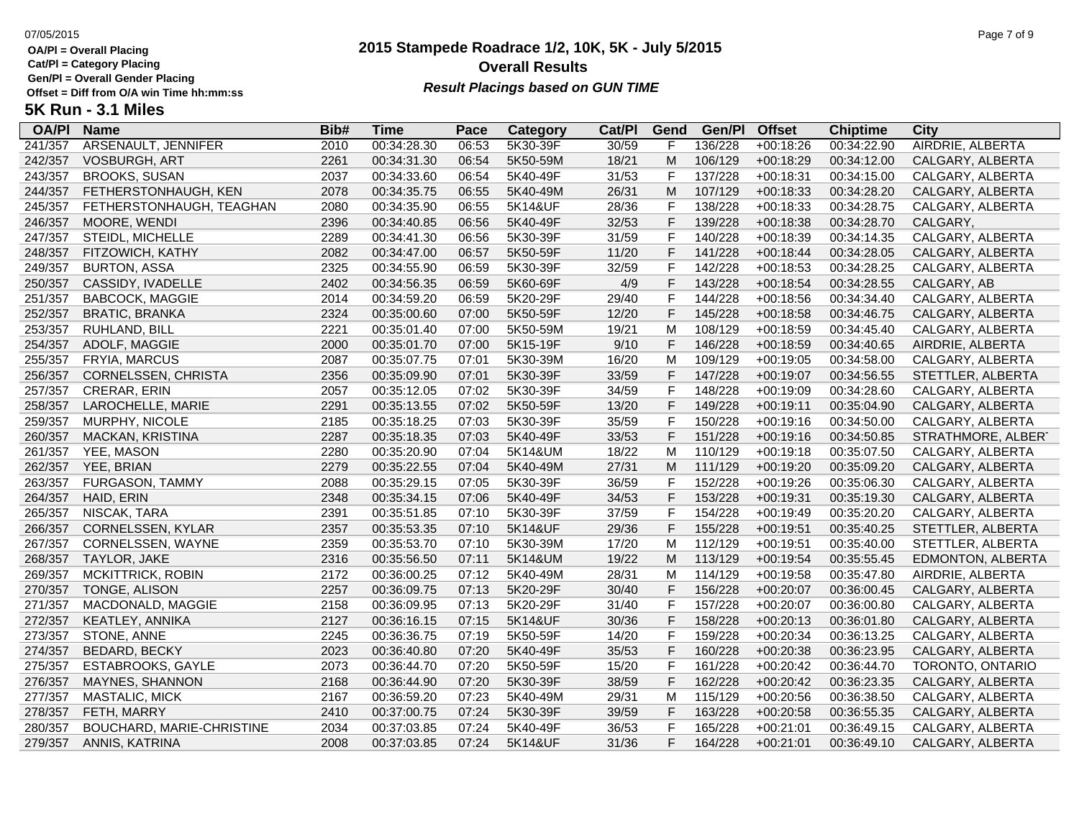**Cat/Pl = Category Placing**

**Gen/Pl = Overall Gender Placing**

### **2015 Stampede Roadrace 1/2, 10K, 5K - July 5/2015** 07/05/2015 Page 7 of 9 **Overall Results Result Placings based on GUN TIME**

| <b>OA/PI</b> | <b>Name</b>               | Bib# | Time        | Pace  | Category | Cat/PI | Gend         | Gen/Pl  | <b>Offset</b> | <b>Chiptime</b> | City               |
|--------------|---------------------------|------|-------------|-------|----------|--------|--------------|---------|---------------|-----------------|--------------------|
| 241/357      | ARSENAULT, JENNIFER       | 2010 | 00:34:28.30 | 06:53 | 5K30-39F | 30/59  | F            | 136/228 | $+00:18:26$   | 00:34:22.90     | AIRDRIE, ALBERTA   |
| 242/357      | <b>VOSBURGH, ART</b>      | 2261 | 00:34:31.30 | 06:54 | 5K50-59M | 18/21  | M            | 106/129 | $+00:18:29$   | 00:34:12.00     | CALGARY, ALBERTA   |
| 243/357      | <b>BROOKS, SUSAN</b>      | 2037 | 00:34:33.60 | 06:54 | 5K40-49F | 31/53  | $\mathsf F$  | 137/228 | $+00:18:31$   | 00:34:15.00     | CALGARY, ALBERTA   |
| 244/357      | FETHERSTONHAUGH, KEN      | 2078 | 00:34:35.75 | 06:55 | 5K40-49M | 26/31  | M            | 107/129 | $+00:18:33$   | 00:34:28.20     | CALGARY, ALBERTA   |
| 245/357      | FETHERSTONHAUGH, TEAGHAN  | 2080 | 00:34:35.90 | 06:55 | 5K14&UF  | 28/36  | $\mathsf F$  | 138/228 | $+00:18:33$   | 00:34:28.75     | CALGARY, ALBERTA   |
| 246/357      | MOORE, WENDI              | 2396 | 00:34:40.85 | 06:56 | 5K40-49F | 32/53  | $\mathsf F$  | 139/228 | $+00:18:38$   | 00:34:28.70     | CALGARY,           |
| 247/357      | STEIDL, MICHELLE          | 2289 | 00:34:41.30 | 06:56 | 5K30-39F | 31/59  | $\mathsf{F}$ | 140/228 | $+00:18:39$   | 00:34:14.35     | CALGARY, ALBERTA   |
| 248/357      | FITZOWICH, KATHY          | 2082 | 00:34:47.00 | 06:57 | 5K50-59F | 11/20  | $\mathsf F$  | 141/228 | $+00:18:44$   | 00:34:28.05     | CALGARY, ALBERTA   |
| 249/357      | <b>BURTON, ASSA</b>       | 2325 | 00:34:55.90 | 06:59 | 5K30-39F | 32/59  | $\mathsf{F}$ | 142/228 | $+00:18:53$   | 00:34:28.25     | CALGARY, ALBERTA   |
| 250/357      | CASSIDY, IVADELLE         | 2402 | 00:34:56.35 | 06:59 | 5K60-69F | 4/9    | $\mathsf F$  | 143/228 | $+00:18:54$   | 00:34:28.55     | CALGARY, AB        |
| 251/357      | <b>BABCOCK, MAGGIE</b>    | 2014 | 00:34:59.20 | 06:59 | 5K20-29F | 29/40  | F            | 144/228 | $+00:18:56$   | 00:34:34.40     | CALGARY, ALBERTA   |
| 252/357      | <b>BRATIC, BRANKA</b>     | 2324 | 00:35:00.60 | 07:00 | 5K50-59F | 12/20  | $\mathsf{F}$ | 145/228 | $+00:18:58$   | 00:34:46.75     | CALGARY, ALBERTA   |
| 253/357      | RUHLAND, BILL             | 2221 | 00:35:01.40 | 07:00 | 5K50-59M | 19/21  | M            | 108/129 | $+00:18:59$   | 00:34:45.40     | CALGARY, ALBERTA   |
| 254/357      | ADOLF, MAGGIE             | 2000 | 00:35:01.70 | 07:00 | 5K15-19F | 9/10   | $\mathsf F$  | 146/228 | $+00:18:59$   | 00:34:40.65     | AIRDRIE, ALBERTA   |
| 255/357      | FRYIA, MARCUS             | 2087 | 00:35:07.75 | 07:01 | 5K30-39M | 16/20  | M            | 109/129 | $+00:19:05$   | 00:34:58.00     | CALGARY, ALBERTA   |
| 256/357      | CORNELSSEN, CHRISTA       | 2356 | 00:35:09.90 | 07:01 | 5K30-39F | 33/59  | $\mathsf F$  | 147/228 | $+00:19:07$   | 00:34:56.55     | STETTLER, ALBERTA  |
| 257/357      | CRERAR, ERIN              | 2057 | 00:35:12.05 | 07:02 | 5K30-39F | 34/59  | $\mathsf F$  | 148/228 | $+00:19:09$   | 00:34:28.60     | CALGARY, ALBERTA   |
| 258/357      | LAROCHELLE, MARIE         | 2291 | 00:35:13.55 | 07:02 | 5K50-59F | 13/20  | $\mathsf{F}$ | 149/228 | $+00:19:11$   | 00:35:04.90     | CALGARY, ALBERTA   |
| 259/357      | MURPHY, NICOLE            | 2185 | 00:35:18.25 | 07:03 | 5K30-39F | 35/59  | $\mathsf F$  | 150/228 | $+00:19:16$   | 00:34:50.00     | CALGARY, ALBERTA   |
| 260/357      | MACKAN, KRISTINA          | 2287 | 00:35:18.35 | 07:03 | 5K40-49F | 33/53  | $\mathsf{F}$ | 151/228 | $+00:19:16$   | 00:34:50.85     | STRATHMORE, ALBERT |
| 261/357      | YEE, MASON                | 2280 | 00:35:20.90 | 07:04 | 5K14&UM  | 18/22  | M            | 110/129 | $+00:19:18$   | 00:35:07.50     | CALGARY, ALBERTA   |
| 262/357      | YEE, BRIAN                | 2279 | 00:35:22.55 | 07:04 | 5K40-49M | 27/31  | M            | 111/129 | $+00:19:20$   | 00:35:09.20     | CALGARY, ALBERTA   |
| 263/357      | FURGASON, TAMMY           | 2088 | 00:35:29.15 | 07:05 | 5K30-39F | 36/59  | $\mathsf F$  | 152/228 | $+00:19:26$   | 00:35:06.30     | CALGARY, ALBERTA   |
| 264/357      | HAID, ERIN                | 2348 | 00:35:34.15 | 07:06 | 5K40-49F | 34/53  | F            | 153/228 | $+00:19:31$   | 00:35:19.30     | CALGARY, ALBERTA   |
| 265/357      | NISCAK, TARA              | 2391 | 00:35:51.85 | 07:10 | 5K30-39F | 37/59  | $\mathsf{F}$ | 154/228 | $+00:19:49$   | 00:35:20.20     | CALGARY, ALBERTA   |
| 266/357      | CORNELSSEN, KYLAR         | 2357 | 00:35:53.35 | 07:10 | 5K14&UF  | 29/36  | $\mathsf{F}$ | 155/228 | $+00:19:51$   | 00:35:40.25     | STETTLER, ALBERTA  |
| 267/357      | CORNELSSEN, WAYNE         | 2359 | 00:35:53.70 | 07:10 | 5K30-39M | 17/20  | M            | 112/129 | $+00:19:51$   | 00:35:40.00     | STETTLER, ALBERTA  |
| 268/357      | TAYLOR, JAKE              | 2316 | 00:35:56.50 | 07:11 | 5K14&UM  | 19/22  | M            | 113/129 | $+00:19:54$   | 00:35:55.45     | EDMONTON, ALBERTA  |
| 269/357      | MCKITTRICK, ROBIN         | 2172 | 00:36:00.25 | 07:12 | 5K40-49M | 28/31  | M            | 114/129 | $+00:19:58$   | 00:35:47.80     | AIRDRIE, ALBERTA   |
| 270/357      | TONGE, ALISON             | 2257 | 00:36:09.75 | 07:13 | 5K20-29F | 30/40  | $\mathsf F$  | 156/228 | $+00:20:07$   | 00:36:00.45     | CALGARY, ALBERTA   |
| 271/357      | MACDONALD, MAGGIE         | 2158 | 00:36:09.95 | 07:13 | 5K20-29F | 31/40  | $\mathsf{F}$ | 157/228 | $+00:20:07$   | 00:36:00.80     | CALGARY, ALBERTA   |
| 272/357      | KEATLEY, ANNIKA           | 2127 | 00:36:16.15 | 07:15 | 5K14&UF  | 30/36  | $\mathsf{F}$ | 158/228 | $+00:20:13$   | 00:36:01.80     | CALGARY, ALBERTA   |
| 273/357      | STONE, ANNE               | 2245 | 00:36:36.75 | 07:19 | 5K50-59F | 14/20  | $\mathsf F$  | 159/228 | $+00:20:34$   | 00:36:13.25     | CALGARY, ALBERTA   |
| 274/357      | BEDARD, BECKY             | 2023 | 00:36:40.80 | 07:20 | 5K40-49F | 35/53  | $\mathsf F$  | 160/228 | $+00:20:38$   | 00:36:23.95     | CALGARY, ALBERTA   |
| 275/357      | ESTABROOKS, GAYLE         | 2073 | 00:36:44.70 | 07:20 | 5K50-59F | 15/20  | $\mathsf{F}$ | 161/228 | $+00:20:42$   | 00:36:44.70     | TORONTO, ONTARIO   |
| 276/357      | MAYNES, SHANNON           | 2168 | 00:36:44.90 | 07:20 | 5K30-39F | 38/59  | $\mathsf F$  | 162/228 | $+00:20:42$   | 00:36:23.35     | CALGARY, ALBERTA   |
| 277/357      | MASTALIC, MICK            | 2167 | 00:36:59.20 | 07:23 | 5K40-49M | 29/31  | M            | 115/129 | $+00:20:56$   | 00:36:38.50     | CALGARY, ALBERTA   |
| 278/357      | FETH, MARRY               | 2410 | 00:37:00.75 | 07:24 | 5K30-39F | 39/59  | F            | 163/228 | $+00:20:58$   | 00:36:55.35     | CALGARY, ALBERTA   |
| 280/357      | BOUCHARD, MARIE-CHRISTINE | 2034 | 00:37:03.85 | 07:24 | 5K40-49F | 36/53  | F            | 165/228 | $+00:21:01$   | 00:36:49.15     | CALGARY, ALBERTA   |
| 279/357      | ANNIS, KATRINA            | 2008 | 00:37:03.85 | 07:24 | 5K14&UF  | 31/36  | F            | 164/228 | $+00:21:01$   | 00:36:49.10     | CALGARY, ALBERTA   |
|              |                           |      |             |       |          |        |              |         |               |                 |                    |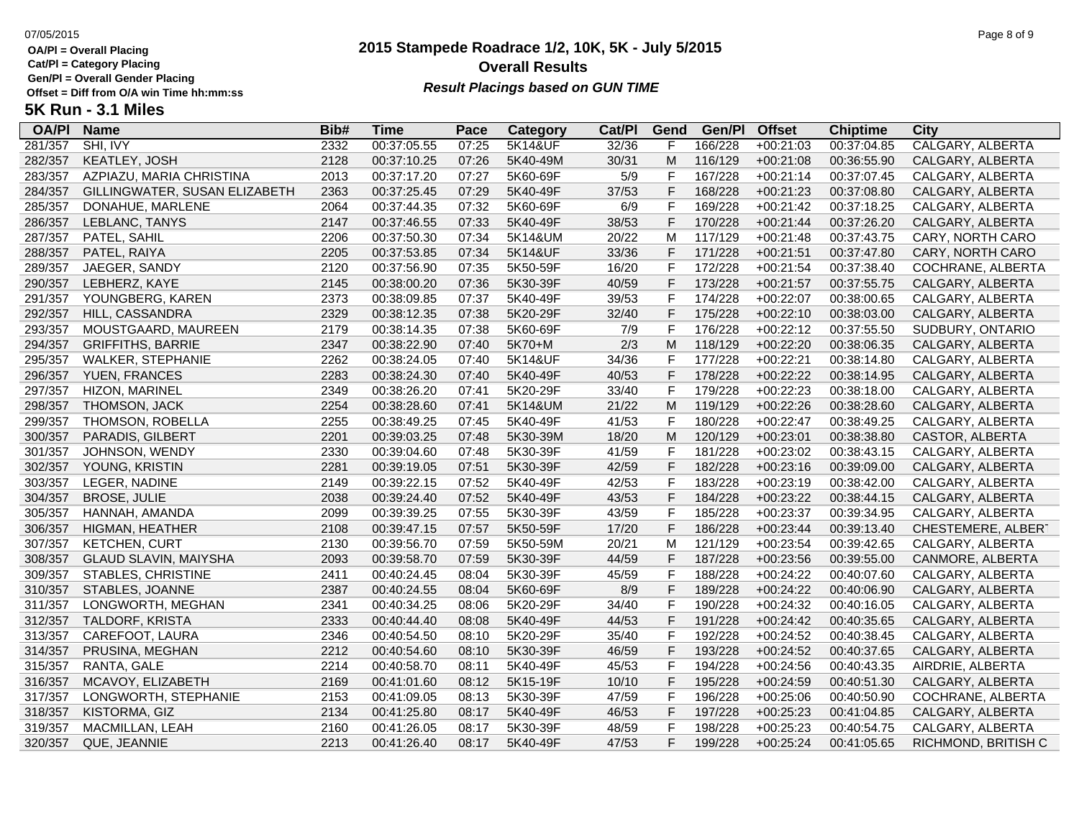**Cat/Pl = Category Placing**

**Gen/Pl = Overall Gender Placing**

## **2015 Stampede Roadrace 1/2, 10K, 5K - July 5/2015** 07/05/2015 Page 8 of 9 **Overall Results** Gen/PI = Overall Gender Placing<br>Offset = Diff from O/A win Time hh:mm:ss *Result Placings based on GUN TIME*

| <b>OA/PI</b> | <b>Name</b>                   | Bib# | Time        | Pace  | Category           | Cat/PI | Gend        | Gen/Pl  | <b>Offset</b> | <b>Chiptime</b> | City                    |
|--------------|-------------------------------|------|-------------|-------|--------------------|--------|-------------|---------|---------------|-----------------|-------------------------|
| 281/357      | SHI, IVY                      | 2332 | 00:37:05.55 | 07:25 | <b>5K14&amp;UF</b> | 32/36  |             | 166/228 | $+00:21:03$   | 00:37:04.85     | <b>CALGARY, ALBERTA</b> |
| 282/357      | KEATLEY, JOSH                 | 2128 | 00:37:10.25 | 07:26 | 5K40-49M           | 30/31  | M           | 116/129 | $+00:21:08$   | 00:36:55.90     | CALGARY, ALBERTA        |
| 283/357      | AZPIAZU, MARIA CHRISTINA      | 2013 | 00:37:17.20 | 07:27 | 5K60-69F           | 5/9    | F           | 167/228 | $+00:21:14$   | 00:37:07.45     | CALGARY, ALBERTA        |
| 284/357      | GILLINGWATER, SUSAN ELIZABETH | 2363 | 00:37:25.45 | 07:29 | 5K40-49F           | 37/53  | F           | 168/228 | $+00:21:23$   | 00:37:08.80     | CALGARY, ALBERTA        |
| 285/357      | DONAHUE, MARLENE              | 2064 | 00:37:44.35 | 07:32 | 5K60-69F           | 6/9    | F           | 169/228 | $+00:21:42$   | 00:37:18.25     | CALGARY, ALBERTA        |
| 286/357      | LEBLANC, TANYS                | 2147 | 00:37:46.55 | 07:33 | 5K40-49F           | 38/53  | F           | 170/228 | $+00:21:44$   | 00:37:26.20     | CALGARY, ALBERTA        |
| 287/357      | PATEL, SAHIL                  | 2206 | 00:37:50.30 | 07:34 | 5K14&UM            | 20/22  | M           | 117/129 | $+00:21:48$   | 00:37:43.75     | CARY, NORTH CARO        |
| 288/357      | PATEL, RAIYA                  | 2205 | 00:37:53.85 | 07:34 | 5K14&UF            | 33/36  | F           | 171/228 | $+00:21:51$   | 00:37:47.80     | CARY, NORTH CARO        |
| 289/357      | JAEGER, SANDY                 | 2120 | 00:37:56.90 | 07:35 | 5K50-59F           | 16/20  | F           | 172/228 | $+00:21:54$   | 00:37:38.40     | COCHRANE, ALBERTA       |
| 290/357      | LEBHERZ, KAYE                 | 2145 | 00:38:00.20 | 07:36 | 5K30-39F           | 40/59  | F           | 173/228 | $+00:21:57$   | 00:37:55.75     | CALGARY, ALBERTA        |
| 291/357      | YOUNGBERG, KAREN              | 2373 | 00:38:09.85 | 07:37 | 5K40-49F           | 39/53  | F           | 174/228 | $+00:22:07$   | 00:38:00.65     | CALGARY, ALBERTA        |
| 292/357      | HILL, CASSANDRA               | 2329 | 00:38:12.35 | 07:38 | 5K20-29F           | 32/40  | F           | 175/228 | $+00:22:10$   | 00:38:03.00     | CALGARY, ALBERTA        |
| 293/357      | MOUSTGAARD, MAUREEN           | 2179 | 00:38:14.35 | 07:38 | 5K60-69F           | 7/9    | F           | 176/228 | $+00:22:12$   | 00:37:55.50     | SUDBURY, ONTARIO        |
| 294/357      | <b>GRIFFITHS, BARRIE</b>      | 2347 | 00:38:22.90 | 07:40 | 5K70+M             | 2/3    | M           | 118/129 | $+00:22:20$   | 00:38:06.35     | CALGARY, ALBERTA        |
| 295/357      | <b>WALKER, STEPHANIE</b>      | 2262 | 00:38:24.05 | 07:40 | 5K14&UF            | 34/36  | F           | 177/228 | $+00:22:21$   | 00:38:14.80     | CALGARY, ALBERTA        |
| 296/357      | YUEN, FRANCES                 | 2283 | 00:38:24.30 | 07:40 | 5K40-49F           | 40/53  | $\mathsf F$ | 178/228 | $+00:22:22$   | 00:38:14.95     | CALGARY, ALBERTA        |
| 297/357      | HIZON, MARINEL                | 2349 | 00:38:26.20 | 07:41 | 5K20-29F           | 33/40  | F           | 179/228 | $+00:22:23$   | 00:38:18.00     | CALGARY, ALBERTA        |
| 298/357      | THOMSON, JACK                 | 2254 | 00:38:28.60 | 07:41 | 5K14&UM            | 21/22  | M           | 119/129 | $+00:22:26$   | 00:38:28.60     | CALGARY, ALBERTA        |
| 299/357      | THOMSON, ROBELLA              | 2255 | 00:38:49.25 | 07:45 | 5K40-49F           | 41/53  | F           | 180/228 | $+00:22:47$   | 00:38:49.25     | CALGARY, ALBERTA        |
| 300/357      | PARADIS, GILBERT              | 2201 | 00:39:03.25 | 07:48 | 5K30-39M           | 18/20  | M           | 120/129 | $+00:23:01$   | 00:38:38.80     | CASTOR, ALBERTA         |
| 301/357      | JOHNSON, WENDY                | 2330 | 00:39:04.60 | 07:48 | 5K30-39F           | 41/59  | F           | 181/228 | $+00:23:02$   | 00:38:43.15     | CALGARY, ALBERTA        |
| 302/357      | YOUNG, KRISTIN                | 2281 | 00:39:19.05 | 07:51 | 5K30-39F           | 42/59  | F           | 182/228 | $+00:23:16$   | 00:39:09.00     | CALGARY, ALBERTA        |
| 303/357      | LEGER, NADINE                 | 2149 | 00:39:22.15 | 07:52 | 5K40-49F           | 42/53  | F           | 183/228 | $+00:23:19$   | 00:38:42.00     | CALGARY, ALBERTA        |
| 304/357      | <b>BROSE, JULIE</b>           | 2038 | 00:39:24.40 | 07:52 | 5K40-49F           | 43/53  | F           | 184/228 | $+00:23:22$   | 00:38:44.15     | CALGARY, ALBERTA        |
| 305/357      | HANNAH, AMANDA                | 2099 | 00:39:39.25 | 07:55 | 5K30-39F           | 43/59  | F           | 185/228 | $+00:23:37$   | 00:39:34.95     | CALGARY, ALBERTA        |
| 306/357      | HIGMAN, HEATHER               | 2108 | 00:39:47.15 | 07:57 | 5K50-59F           | 17/20  | F           | 186/228 | $+00:23:44$   | 00:39:13.40     | CHESTEMERE, ALBERT      |
| 307/357      | <b>KETCHEN, CURT</b>          | 2130 | 00:39:56.70 | 07:59 | 5K50-59M           | 20/21  | M           | 121/129 | $+00:23:54$   | 00:39:42.65     | CALGARY, ALBERTA        |
| 308/357      | <b>GLAUD SLAVIN, MAIYSHA</b>  | 2093 | 00:39:58.70 | 07:59 | 5K30-39F           | 44/59  | $\mathsf F$ | 187/228 | $+00:23:56$   | 00:39:55.00     | CANMORE, ALBERTA        |
| 309/357      | <b>STABLES, CHRISTINE</b>     | 2411 | 00:40:24.45 | 08:04 | 5K30-39F           | 45/59  | F           | 188/228 | $+00:24:22$   | 00:40:07.60     | CALGARY, ALBERTA        |
| 310/357      | STABLES, JOANNE               | 2387 | 00:40:24.55 | 08:04 | 5K60-69F           | 8/9    | F           | 189/228 | $+00:24:22$   | 00:40:06.90     | CALGARY, ALBERTA        |
| 311/357      | LONGWORTH, MEGHAN             | 2341 | 00:40:34.25 | 08:06 | 5K20-29F           | 34/40  | F           | 190/228 | $+00:24:32$   | 00:40:16.05     | CALGARY, ALBERTA        |
| 312/357      | TALDORF, KRISTA               | 2333 | 00:40:44.40 | 08:08 | 5K40-49F           | 44/53  | F           | 191/228 | $+00:24:42$   | 00:40:35.65     | CALGARY, ALBERTA        |
| 313/357      | CAREFOOT, LAURA               | 2346 | 00:40:54.50 | 08:10 | 5K20-29F           | 35/40  | F           | 192/228 | $+00:24:52$   | 00:40:38.45     | CALGARY, ALBERTA        |
| 314/357      | PRUSINA, MEGHAN               | 2212 | 00:40:54.60 | 08:10 | 5K30-39F           | 46/59  | F           | 193/228 | $+00:24:52$   | 00:40:37.65     | CALGARY, ALBERTA        |
| 315/357      | RANTA, GALE                   | 2214 | 00:40:58.70 | 08:11 | 5K40-49F           | 45/53  | F           | 194/228 | $+00:24:56$   | 00:40:43.35     | AIRDRIE, ALBERTA        |
| 316/357      | MCAVOY, ELIZABETH             | 2169 | 00:41:01.60 | 08:12 | 5K15-19F           | 10/10  | $\mathsf F$ | 195/228 | $+00:24:59$   | 00:40:51.30     | CALGARY, ALBERTA        |
| 317/357      | LONGWORTH, STEPHANIE          | 2153 | 00:41:09.05 | 08:13 | 5K30-39F           | 47/59  | F           | 196/228 | $+00:25:06$   | 00:40:50.90     | COCHRANE, ALBERTA       |
| 318/357      | KISTORMA, GIZ                 | 2134 | 00:41:25.80 | 08:17 | 5K40-49F           | 46/53  | F           | 197/228 | $+00:25:23$   | 00:41:04.85     | CALGARY, ALBERTA        |
| 319/357      | MACMILLAN, LEAH               | 2160 | 00:41:26.05 | 08:17 | 5K30-39F           | 48/59  | F           | 198/228 | $+00:25:23$   | 00:40:54.75     | CALGARY, ALBERTA        |
| 320/357      | QUE, JEANNIE                  | 2213 | 00:41:26.40 | 08:17 | 5K40-49F           | 47/53  | F           | 199/228 | $+00:25:24$   | 00:41:05.65     | RICHMOND, BRITISH C     |
|              |                               |      |             |       |                    |        |             |         |               |                 |                         |